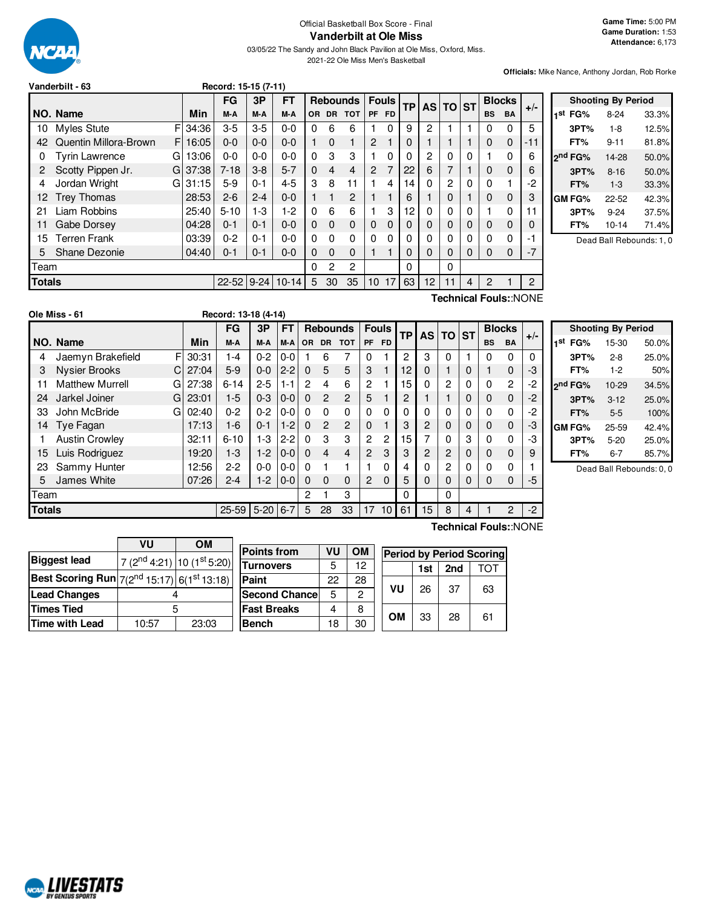

Official Basketball Box Score - Final **Vanderbilt at Ole Miss**

03/05/22 The Sandy and John Black Pavilion at Ole Miss, Oxford, Miss. 2021-22 Ole Miss Men's Basketball

**Officials:** Mike Nance, Anthony Jordan, Rob Rorke

|               | Record: 15-15 (7-11)<br>Vanderbilt - 63 |    |       |           |         |              |          |                |                 |                 |                |           |    |              |   |               |               |                       |
|---------------|-----------------------------------------|----|-------|-----------|---------|--------------|----------|----------------|-----------------|-----------------|----------------|-----------|----|--------------|---|---------------|---------------|-----------------------|
|               |                                         |    |       | FG        | 3P      | FT           |          |                | <b>Rebounds</b> |                 | <b>Fouls</b>   | <b>TP</b> | AS | <b>TO ST</b> |   |               | <b>Blocks</b> | $+/-$                 |
|               | NO. Name                                |    | Min   | M-A       | M-A     | M-A          | OR.      | DR             | <b>TOT</b>      | <b>PF</b>       | <b>FD</b>      |           |    |              |   | <b>BS</b>     | <b>BA</b>     |                       |
| 10            | Myles Stute                             | F  | 34:36 | $3-5$     | $3-5$   | $0-0$        | 0        | 6              | 6               |                 | $\Omega$       | 9         | 2  |              |   | 0             | 0             | 5                     |
| 42            | Quentin Millora-Brown                   | F. | 16:05 | $0 - 0$   | $0 - 0$ | $0 - 0$      |          | $\Omega$       |                 | $\overline{2}$  |                | 0         |    |              |   | 0             | $\mathbf 0$   | $-11$                 |
| 0             | <b>Tyrin Lawrence</b>                   | G  | 13:06 | $0 - 0$   | $0 - 0$ | $0-0$        | 0        | 3              | 3               |                 | $\Omega$       | 0         | 2  | 0            | 0 |               | 0             | 6                     |
| 2             | Scotty Pippen Jr.                       | G  | 37:38 | $7 - 18$  | $3 - 8$ | $5 - 7$      | $\Omega$ | $\overline{4}$ | $\overline{4}$  | $\overline{2}$  | $\overline{7}$ | 22        | 6  |              |   | 0             | $\mathbf 0$   | 6                     |
| 4             | Jordan Wright                           | G  | 31:15 | $5-9$     | $0 - 1$ | $4 - 5$      | 3        | 8              | 11              |                 | 4              | 14        | 0  | 2            | 0 | 0             |               | -2                    |
| 12            | <b>Trey Thomas</b>                      |    | 28:53 | $2 - 6$   | $2 - 4$ | $0 - 0$      |          |                | 2               |                 |                | 6         |    | 0            |   | 0             | $\mathbf 0$   | 3                     |
| 21            | Liam Robbins                            |    | 25:40 | $5 - 10$  | $1-3$   | $1-2$        | 0        | 6              | 6               |                 | 3              | 12        | 0  | 0            | 0 |               | 0             | 11                    |
| 11            | Gabe Dorsey                             |    | 04:28 | $0 - 1$   | $0 - 1$ | $0 - 0$      | 0        | $\mathbf 0$    | $\mathbf 0$     | $\mathbf{0}$    | 0              | 0         | 0  | 0            | 0 | 0             | $\mathbf 0$   | 0                     |
| 15            | <b>Terren Frank</b>                     |    | 03:39 | $0 - 2$   | $0 - 1$ | $0 - 0$      | 0        | $\Omega$       | $\Omega$        | 0               | $\Omega$       | 0         | 0  | 0            | 0 | 0             | 0             | -1                    |
| 5             | Shane Dezonie                           |    | 04:40 | $0 - 1$   | $0 - 1$ | $0 - 0$      | 0        | $\Omega$       | $\Omega$        |                 | 1              | 0         | 0  | 0            | 0 | 0             | 0             | $-7$                  |
| <b>Team</b>   |                                         |    |       |           |         |              | 0        | $\overline{2}$ | $\overline{2}$  |                 |                | 0         |    | 0            |   |               |               |                       |
| <b>Totals</b> |                                         |    |       | $22 - 52$ |         | $9-24$ 10-14 | 5        | 30             | 35              | 10 <sup>1</sup> | 17             | 63        | 12 | 11           | 4 | $\mathcal{P}$ |               | $\overline{2}$        |
|               |                                         |    |       |           |         |              |          |                |                 |                 |                |           |    |              |   |               |               | Technical Fouls::NONE |

|     |                     | <b>Shooting By Period</b> |       |
|-----|---------------------|---------------------------|-------|
| 1st | FG%                 | $8-24$                    | 33.3% |
|     | 3PT%                | $1 - 8$                   | 12.5% |
|     | FT%                 | 9-11                      | 81.8% |
|     | 2 <sup>nd</sup> FG% | 14-28                     | 50.0% |
|     | 3PT%                | $8 - 16$                  | 50.0% |
|     | FT%                 | $1 - 3$                   | 33.3% |
|     | GM FG%              | 22-52                     | 42.3% |
|     | 3PT%                | $9 - 24$                  | 37.5% |
|     | FT%                 | $10 - 14$                 | 71.4% |
|     |                     |                           |       |

Dead Ball Rebounds: 1, 0

|               | Ole Miss - 61          |    |       | Record: 13-18 (4-14) |            |           |              |                |                 |                      |              |                 |          |   |              |              |                |       |                     |                           |       |
|---------------|------------------------|----|-------|----------------------|------------|-----------|--------------|----------------|-----------------|----------------------|--------------|-----------------|----------|---|--------------|--------------|----------------|-------|---------------------|---------------------------|-------|
|               |                        |    |       | <b>FG</b>            | 3P         | <b>FT</b> |              |                | <b>Rebounds</b> |                      | <b>Fouls</b> | <b>TP</b>       | AS TO ST |   |              |              | <b>Blocks</b>  |       |                     | <b>Shooting By Period</b> |       |
|               | NO. Name               |    | Min   | M-A                  | M-A        | M-A       |              |                | OR DR TOT       | PF FD                |              |                 |          |   |              | <b>BS</b>    | <b>BA</b>      | $+/-$ | 1 <sup>st</sup> FG% | 15-30                     | 50.0% |
| 4             | Jaemyn Brakefield      | F  | 30:31 | 1-4                  | $0 - 2$    | $0-0$     |              | 6              |                 | 0                    |              | $\overline{2}$  | 3        | 0 |              | 0            | $\Omega$       | 0     | 3PT%                | $2 - 8$                   | 25.0% |
| 3             | <b>Nysier Brooks</b>   | C. | 27:04 | $5-9$                | $0-0$      | $2 - 2$   | $\Omega$     | 5              | 5               | 3                    |              | 12 <sup>2</sup> | 0        |   | $\mathbf{0}$ |              | 0              | -3    | FT%                 | $1-2$                     | 50%   |
|               | <b>Matthew Murrell</b> | GI | 27:38 | $6 - 14$             | $2 - 5$    | $1 - 1$   | 2            | 4              | 6               | 2                    |              | 15              | 0        | 2 | 0            | $\mathbf{0}$ | $\overline{c}$ | -2    | 2 <sup>nd</sup> FG% | $10 - 29$                 | 34.5% |
| 24            | Jarkel Joiner          | G  | 23:01 | $1-5$                | $0 - 3$    | $0 - 0$   | $\Omega$     | $\overline{2}$ | $\overline{2}$  | 5                    |              | 2               |          |   | $\mathbf{0}$ | 0            | 0              | $-2$  | 3PT%                | $3 - 12$                  | 25.0% |
| 33            | John McBride           | G  | 02:40 | $0 - 2$              | $0 - 2$    | $0-0$     | $\mathbf{0}$ | $\Omega$       | $\Omega$        | 0                    | 0            | $\Omega$        | 0        | 0 | 0            | 0            | 0              | $-2$  | FT%                 | $5-5$                     | 100%  |
| 14.           | Tye Fagan              |    | 17:13 | $1-6$                | $0 - 1$    | $1-2$     | $\Omega$     | $\overline{c}$ | $\overline{c}$  | 0                    |              | 3               | 2        | 0 | $\mathbf{0}$ | $\Omega$     | 0              | -3    | <b>GM FG%</b>       | 25-59                     | 42.4% |
|               | <b>Austin Crowley</b>  |    | 32:11 | $6 - 10$             | $1-3$      | $2 - 2$   | 0            | 3              | 3               | $\overline{2}$       | 2            | 15              |          | 0 | 3            | 0            | 0              | -3    | 3PT%                | $5 - 20$                  | 25.0% |
| 15            | Luis Rodriguez         |    | 19:20 | $1 - 3$              | $1-2$      | $0-0$     | $\Omega$     | 4              | $\overline{4}$  | $\overline{2}$       | 3            | 3               | 2        | 2 | 0            | 0            | $\Omega$       | 9     | FT%                 | $6 - 7$                   | 85.7% |
| 23            | Sammy Hunter           |    | 12:56 | $2 - 2$              | $0-0$      | $0-0$     | $\Omega$     |                |                 |                      |              | 4               |          | 2 | 0            | $\mathbf{0}$ | 0              |       |                     | Dead Ball Rebounds: 0, 0  |       |
| 5.            | James White            |    | 07:26 | $2 - 4$              | $1-2$      | $0-0$     | $\Omega$     | $\Omega$       | $\Omega$        | $\mathbf{2}^{\circ}$ | $\Omega$     | 5               | 0        | 0 | $\Omega$     | 0            | 0              | -5    |                     |                           |       |
| Team          |                        |    |       |                      |            |           | 2            |                | 3               |                      |              | $\Omega$        |          | 0 |              |              |                |       |                     |                           |       |
| <b>Totals</b> |                        |    |       | $25 - 59$            | $5-20$ 6-7 |           | 5            | 28             | 33              |                      | 1710         | 61              | 15       | 8 | 4            |              | $\overline{2}$ | $-2$  |                     |                           |       |

|                                                                                    | VU    | <b>OM</b>                              |                      |    |           |           |     |     |                                 |
|------------------------------------------------------------------------------------|-------|----------------------------------------|----------------------|----|-----------|-----------|-----|-----|---------------------------------|
|                                                                                    |       |                                        | <b>Points from</b>   | VU | <b>OM</b> |           |     |     | <b>Period by Period Scoring</b> |
| <b>Biggest lead</b>                                                                |       | 7 ( $2^{nd}$ 4:21) 10 ( $1^{st}$ 5:20) | <b>Turnovers</b>     | 5  | 12        |           | 1st | 2nd | TOT                             |
| Best Scoring Run $_{7(2^{\text{nd}}\ 15:17)}$ $_{6(1^{\text{st}}\ 13:18)}$ $_{\,}$ |       |                                        | Paint                | 22 | 28        |           |     |     |                                 |
| <b>Lead Changes</b>                                                                |       |                                        | <b>Second Chance</b> | 5  | 2         | VU        | 26  | 37  | 63                              |
| Times Tied                                                                         | 5     |                                        | <b>Fast Breaks</b>   | 4  | 8         | <b>OM</b> |     |     |                                 |
| Time with Lead                                                                     | 10:57 | 23:03                                  | <b>Bench</b>         | 18 | 30        |           | 33  | 28  | 61                              |
|                                                                                    |       |                                        |                      |    |           |           |     |     |                                 |

**Technical Fouls:**:NONE

NCAL LIVESTATS

# $\overline{\phantom{a}}$ **VU OM**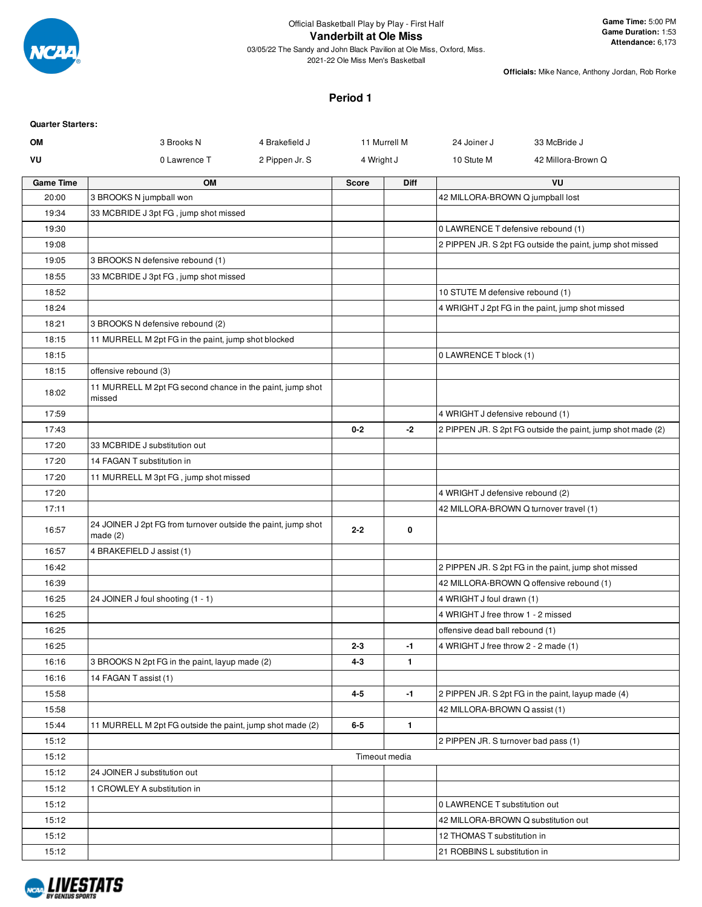

## **Vanderbilt at Ole Miss**

03/05/22 The Sandy and John Black Pavilion at Ole Miss, Oxford, Miss. 2021-22 Ole Miss Men's Basketball

**Officials:** Mike Nance, Anthony Jordan, Rob Rorke

### **Period 1**

| <b>Quarter Starters:</b> |                                                                             |                |            |               |                                      |                                                             |
|--------------------------|-----------------------------------------------------------------------------|----------------|------------|---------------|--------------------------------------|-------------------------------------------------------------|
| <b>OM</b>                | 3 Brooks N                                                                  | 4 Brakefield J |            | 11 Murrell M  | 24 Joiner J                          | 33 McBride J                                                |
| VU                       | 0 Lawrence T                                                                | 2 Pippen Jr. S | 4 Wright J |               | 10 Stute M                           | 42 Millora-Brown Q                                          |
| <b>Game Time</b>         | OM                                                                          |                | Score      | Diff          |                                      | VU                                                          |
| 20:00                    | 3 BROOKS N jumpball won                                                     |                |            |               | 42 MILLORA-BROWN Q jumpball lost     |                                                             |
| 19:34                    | 33 MCBRIDE J 3pt FG, jump shot missed                                       |                |            |               |                                      |                                                             |
| 19:30                    |                                                                             |                |            |               | 0 LAWRENCE T defensive rebound (1)   |                                                             |
| 19:08                    |                                                                             |                |            |               |                                      | 2 PIPPEN JR. S 2pt FG outside the paint, jump shot missed   |
| 19:05                    | 3 BROOKS N defensive rebound (1)                                            |                |            |               |                                      |                                                             |
| 18:55                    | 33 MCBRIDE J 3pt FG, jump shot missed                                       |                |            |               |                                      |                                                             |
| 18:52                    |                                                                             |                |            |               | 10 STUTE M defensive rebound (1)     |                                                             |
| 18:24                    |                                                                             |                |            |               |                                      | 4 WRIGHT J 2pt FG in the paint, jump shot missed            |
| 18:21                    | 3 BROOKS N defensive rebound (2)                                            |                |            |               |                                      |                                                             |
| 18:15                    | 11 MURRELL M 2pt FG in the paint, jump shot blocked                         |                |            |               |                                      |                                                             |
| 18:15                    |                                                                             |                |            |               | 0 LAWRENCE T block (1)               |                                                             |
| 18:15                    | offensive rebound (3)                                                       |                |            |               |                                      |                                                             |
| 18:02                    | 11 MURRELL M 2pt FG second chance in the paint, jump shot<br>missed         |                |            |               |                                      |                                                             |
| 17:59                    |                                                                             |                |            |               | 4 WRIGHT J defensive rebound (1)     |                                                             |
| 17:43                    |                                                                             |                | $0 - 2$    | -2            |                                      | 2 PIPPEN JR. S 2pt FG outside the paint, jump shot made (2) |
| 17:20                    | 33 MCBRIDE J substitution out                                               |                |            |               |                                      |                                                             |
| 17:20                    | 14 FAGAN T substitution in                                                  |                |            |               |                                      |                                                             |
| 17:20                    | 11 MURRELL M 3pt FG, jump shot missed                                       |                |            |               |                                      |                                                             |
| 17:20                    |                                                                             |                |            |               | 4 WRIGHT J defensive rebound (2)     |                                                             |
| 17:11                    |                                                                             |                |            |               |                                      | 42 MILLORA-BROWN Q turnover travel (1)                      |
| 16:57                    | 24 JOINER J 2pt FG from turnover outside the paint, jump shot<br>made $(2)$ |                | $2 - 2$    | 0             |                                      |                                                             |
| 16:57                    | 4 BRAKEFIELD J assist (1)                                                   |                |            |               |                                      |                                                             |
| 16:42                    |                                                                             |                |            |               |                                      | 2 PIPPEN JR. S 2pt FG in the paint, jump shot missed        |
| 16:39                    |                                                                             |                |            |               |                                      | 42 MILLORA-BROWN Q offensive rebound (1)                    |
| 16:25                    | 24 JOINER J foul shooting (1 - 1)                                           |                |            |               | 4 WRIGHT J foul drawn (1)            |                                                             |
| 16:25                    |                                                                             |                |            |               | 4 WRIGHT J free throw 1 - 2 missed   |                                                             |
| 16:25                    |                                                                             |                |            |               | offensive dead ball rebound (1)      |                                                             |
| 16:25                    |                                                                             |                | $2 - 3$    | -1            | 4 WRIGHT J free throw 2 - 2 made (1) |                                                             |
| 16:16                    | 3 BROOKS N 2pt FG in the paint, layup made (2)                              |                | $4 - 3$    | $\mathbf{1}$  |                                      |                                                             |
| 16:16                    | 14 FAGAN T assist (1)                                                       |                |            |               |                                      |                                                             |
| 15:58                    |                                                                             |                | $4 - 5$    | $-1$          |                                      | 2 PIPPEN JR. S 2pt FG in the paint, layup made (4)          |
| 15:58                    |                                                                             |                |            |               | 42 MILLORA-BROWN Q assist (1)        |                                                             |
| 15:44                    | 11 MURRELL M 2pt FG outside the paint, jump shot made (2)                   |                | $6-5$      | $\mathbf{1}$  |                                      |                                                             |
| 15:12                    |                                                                             |                |            |               | 2 PIPPEN JR. S turnover bad pass (1) |                                                             |
| 15:12                    |                                                                             |                |            | Timeout media |                                      |                                                             |
| 15:12                    | 24 JOINER J substitution out                                                |                |            |               |                                      |                                                             |
| 15:12                    | 1 CROWLEY A substitution in                                                 |                |            |               |                                      |                                                             |
| 15:12                    |                                                                             |                |            |               | 0 LAWRENCE T substitution out        |                                                             |
| 15:12                    |                                                                             |                |            |               | 42 MILLORA-BROWN Q substitution out  |                                                             |
| 15:12                    |                                                                             |                |            |               | 12 THOMAS T substitution in          |                                                             |
| 15:12                    |                                                                             |                |            |               | 21 ROBBINS L substitution in         |                                                             |

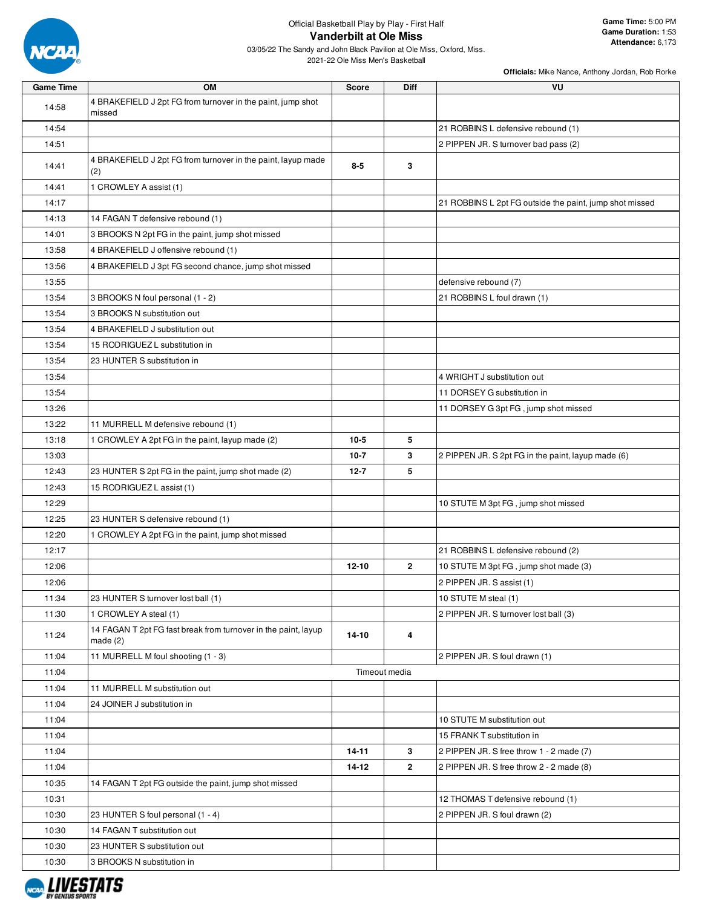

2021-22 Ole Miss Men's Basketball

| <b>Game Time</b> | <b>OM</b>                                                                  | <b>Score</b> | <b>Diff</b>    | VU                                                      |
|------------------|----------------------------------------------------------------------------|--------------|----------------|---------------------------------------------------------|
| 14:58            | 4 BRAKEFIELD J 2pt FG from turnover in the paint, jump shot<br>missed      |              |                |                                                         |
| 14:54            |                                                                            |              |                | 21 ROBBINS L defensive rebound (1)                      |
| 14:51            |                                                                            |              |                | 2 PIPPEN JR. S turnover bad pass (2)                    |
| 14:41            | 4 BRAKEFIELD J 2pt FG from turnover in the paint, layup made<br>(2)        | $8-5$        | 3              |                                                         |
| 14:41            | 1 CROWLEY A assist (1)                                                     |              |                |                                                         |
| 14:17            |                                                                            |              |                | 21 ROBBINS L 2pt FG outside the paint, jump shot missed |
| 14:13            | 14 FAGAN T defensive rebound (1)                                           |              |                |                                                         |
| 14:01            | 3 BROOKS N 2pt FG in the paint, jump shot missed                           |              |                |                                                         |
| 13:58            | 4 BRAKEFIELD J offensive rebound (1)                                       |              |                |                                                         |
| 13:56            | 4 BRAKEFIELD J 3pt FG second chance, jump shot missed                      |              |                |                                                         |
| 13:55            |                                                                            |              |                | defensive rebound (7)                                   |
| 13:54            | 3 BROOKS N foul personal (1 - 2)                                           |              |                | 21 ROBBINS L foul drawn (1)                             |
| 13:54            | 3 BROOKS N substitution out                                                |              |                |                                                         |
| 13:54            | 4 BRAKEFIELD J substitution out                                            |              |                |                                                         |
| 13:54            | 15 RODRIGUEZ L substitution in                                             |              |                |                                                         |
| 13:54            | 23 HUNTER S substitution in                                                |              |                |                                                         |
| 13:54            |                                                                            |              |                | 4 WRIGHT J substitution out                             |
| 13:54            |                                                                            |              |                | 11 DORSEY G substitution in                             |
| 13:26            |                                                                            |              |                | 11 DORSEY G 3pt FG, jump shot missed                    |
| 13:22            | 11 MURRELL M defensive rebound (1)                                         |              |                |                                                         |
| 13:18            | 1 CROWLEY A 2pt FG in the paint, layup made (2)                            | $10 - 5$     | 5              |                                                         |
| 13:03            |                                                                            | $10 - 7$     | 3              | 2 PIPPEN JR. S 2pt FG in the paint, layup made (6)      |
| 12:43            | 23 HUNTER S 2pt FG in the paint, jump shot made (2)                        | $12 - 7$     | 5              |                                                         |
| 12:43            | 15 RODRIGUEZ L assist (1)                                                  |              |                |                                                         |
| 12:29            |                                                                            |              |                | 10 STUTE M 3pt FG, jump shot missed                     |
| 12:25            | 23 HUNTER S defensive rebound (1)                                          |              |                |                                                         |
| 12:20            | 1 CROWLEY A 2pt FG in the paint, jump shot missed                          |              |                |                                                         |
| 12:17            |                                                                            |              |                | 21 ROBBINS L defensive rebound (2)                      |
| 12:06            |                                                                            | $12 - 10$    | $\overline{2}$ | 10 STUTE M 3pt FG, jump shot made (3)                   |
| 12:06            |                                                                            |              |                | 2 PIPPEN JR. S assist (1)                               |
| 11:34            | 23 HUNTER S turnover lost ball (1)                                         |              |                | 10 STUTE M steal (1)                                    |
| 11:30            | 1 CROWLEY A steal (1)                                                      |              |                | 2 PIPPEN JR. S turnover lost ball (3)                   |
| 11:24            | 14 FAGAN T 2pt FG fast break from turnover in the paint, layup<br>made (2) | 14-10        | 4              |                                                         |
| 11:04            | 11 MURRELL M foul shooting (1 - 3)                                         |              |                | 2 PIPPEN JR. S foul drawn (1)                           |
| 11:04            |                                                                            |              | Timeout media  |                                                         |
| 11:04            | 11 MURRELL M substitution out                                              |              |                |                                                         |
| 11:04            | 24 JOINER J substitution in                                                |              |                |                                                         |
| 11:04            |                                                                            |              |                | 10 STUTE M substitution out                             |
| 11:04            |                                                                            |              |                | 15 FRANK T substitution in                              |
| 11:04            |                                                                            | 14-11        | 3              | 2 PIPPEN JR. S free throw 1 - 2 made (7)                |
| 11:04            |                                                                            | 14-12        | $\mathbf{2}$   | 2 PIPPEN JR. S free throw 2 - 2 made (8)                |
| 10:35            | 14 FAGAN T 2pt FG outside the paint, jump shot missed                      |              |                |                                                         |
| 10:31            |                                                                            |              |                | 12 THOMAS T defensive rebound (1)                       |
| 10:30            | 23 HUNTER S foul personal (1 - 4)                                          |              |                | 2 PIPPEN JR. S foul drawn (2)                           |
| 10:30            | 14 FAGAN T substitution out                                                |              |                |                                                         |
| 10:30            | 23 HUNTER S substitution out                                               |              |                |                                                         |
| 10:30            | 3 BROOKS N substitution in                                                 |              |                |                                                         |

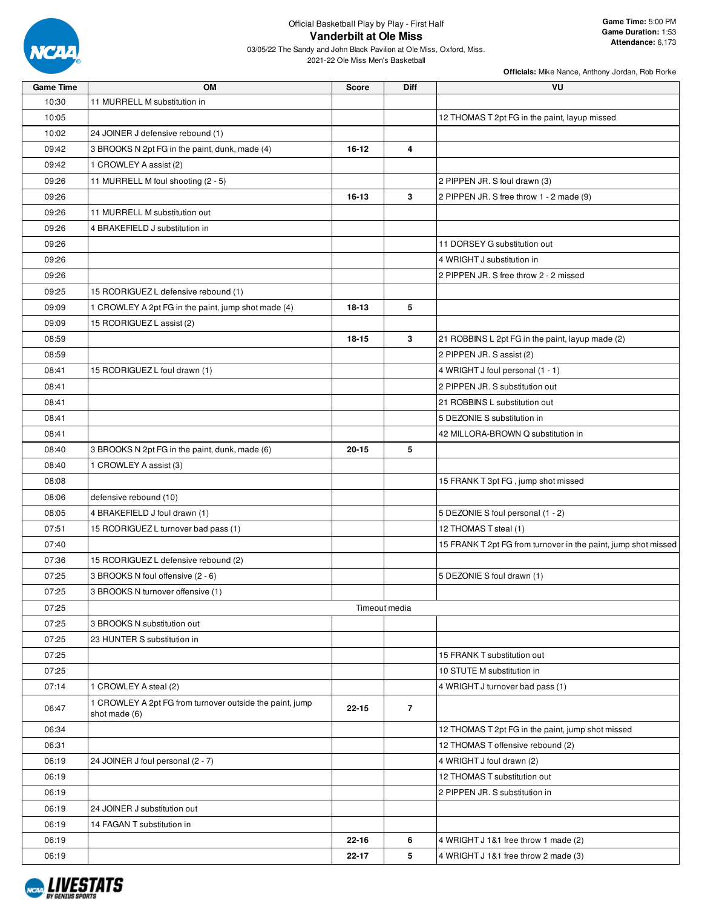

2021-22 Ole Miss Men's Basketball

| <b>Game Time</b> | <b>OM</b>                                                                 | <b>Score</b> | <b>Diff</b>    | VU                                                             |
|------------------|---------------------------------------------------------------------------|--------------|----------------|----------------------------------------------------------------|
| 10:30            | 11 MURRELL M substitution in                                              |              |                |                                                                |
| 10:05            |                                                                           |              |                | 12 THOMAS T 2pt FG in the paint, layup missed                  |
| 10:02            | 24 JOINER J defensive rebound (1)                                         |              |                |                                                                |
| 09:42            | 3 BROOKS N 2pt FG in the paint, dunk, made (4)                            | $16 - 12$    | 4              |                                                                |
| 09:42            | 1 CROWLEY A assist (2)                                                    |              |                |                                                                |
| 09:26            | 11 MURRELL M foul shooting (2 - 5)                                        |              |                | 2 PIPPEN JR. S foul drawn (3)                                  |
| 09:26            |                                                                           | 16-13        | 3              | 2 PIPPEN JR. S free throw 1 - 2 made (9)                       |
| 09:26            | 11 MURRELL M substitution out                                             |              |                |                                                                |
|                  |                                                                           |              |                |                                                                |
| 09:26            | 4 BRAKEFIELD J substitution in                                            |              |                |                                                                |
| 09:26            |                                                                           |              |                | 11 DORSEY G substitution out                                   |
| 09:26            |                                                                           |              |                | 4 WRIGHT J substitution in                                     |
| 09:26            |                                                                           |              |                | 2 PIPPEN JR. S free throw 2 - 2 missed                         |
| 09:25            | 15 RODRIGUEZ L defensive rebound (1)                                      |              |                |                                                                |
| 09:09            | 1 CROWLEY A 2pt FG in the paint, jump shot made (4)                       | $18 - 13$    | 5              |                                                                |
| 09:09            | 15 RODRIGUEZ L assist (2)                                                 |              |                |                                                                |
| 08:59            |                                                                           | $18 - 15$    | 3              | 21 ROBBINS L 2pt FG in the paint, layup made (2)               |
| 08:59            |                                                                           |              |                | 2 PIPPEN JR. S assist (2)                                      |
| 08:41            | 15 RODRIGUEZ L foul drawn (1)                                             |              |                | 4 WRIGHT J foul personal (1 - 1)                               |
| 08:41            |                                                                           |              |                | 2 PIPPEN JR. S substitution out                                |
| 08:41            |                                                                           |              |                | 21 ROBBINS L substitution out                                  |
| 08:41            |                                                                           |              |                | 5 DEZONIE S substitution in                                    |
| 08:41            |                                                                           |              |                | 42 MILLORA-BROWN Q substitution in                             |
| 08:40            | 3 BROOKS N 2pt FG in the paint, dunk, made (6)                            | $20 - 15$    | 5              |                                                                |
| 08:40            | 1 CROWLEY A assist (3)                                                    |              |                |                                                                |
| 08:08            |                                                                           |              |                | 15 FRANK T 3pt FG, jump shot missed                            |
| 08:06            | defensive rebound (10)                                                    |              |                |                                                                |
| 08:05            | 4 BRAKEFIELD J foul drawn (1)                                             |              |                | 5 DEZONIE S foul personal (1 - 2)                              |
| 07:51            | 15 RODRIGUEZ L turnover bad pass (1)                                      |              |                | 12 THOMAS T steal (1)                                          |
| 07:40            |                                                                           |              |                | 15 FRANK T 2pt FG from turnover in the paint, jump shot missed |
| 07:36            | 15 RODRIGUEZ L defensive rebound (2)                                      |              |                |                                                                |
| 07:25            | 3 BROOKS N foul offensive (2 - 6)                                         |              |                | 5 DEZONIE S foul drawn (1)                                     |
| 07:25            | 3 BROOKS N turnover offensive (1)                                         |              |                |                                                                |
| 07:25            |                                                                           |              | Timeout media  |                                                                |
| 07:25            | 3 BROOKS N substitution out                                               |              |                |                                                                |
| 07:25            | 23 HUNTER S substitution in                                               |              |                |                                                                |
| 07:25            |                                                                           |              |                | 15 FRANK T substitution out                                    |
| 07:25            |                                                                           |              |                |                                                                |
|                  |                                                                           |              |                | 10 STUTE M substitution in                                     |
| 07:14            | 1 CROWLEY A steal (2)                                                     |              |                | 4 WRIGHT J turnover bad pass (1)                               |
| 06:47            | 1 CROWLEY A 2pt FG from turnover outside the paint, jump<br>shot made (6) | $22 - 15$    | $\overline{7}$ |                                                                |
| 06:34            |                                                                           |              |                | 12 THOMAS T 2pt FG in the paint, jump shot missed              |
| 06:31            |                                                                           |              |                | 12 THOMAS T offensive rebound (2)                              |
| 06:19            | 24 JOINER J foul personal (2 - 7)                                         |              |                | 4 WRIGHT J foul drawn (2)                                      |
| 06:19            |                                                                           |              |                | 12 THOMAS T substitution out                                   |
| 06:19            |                                                                           |              |                | 2 PIPPEN JR. S substitution in                                 |
| 06:19            | 24 JOINER J substitution out                                              |              |                |                                                                |
| 06:19            | 14 FAGAN T substitution in                                                |              |                |                                                                |
| 06:19            |                                                                           | 22-16        | 6              | 4 WRIGHT J 1&1 free throw 1 made (2)                           |
| 06:19            |                                                                           | 22-17        | 5              | 4 WRIGHT J 1&1 free throw 2 made (3)                           |

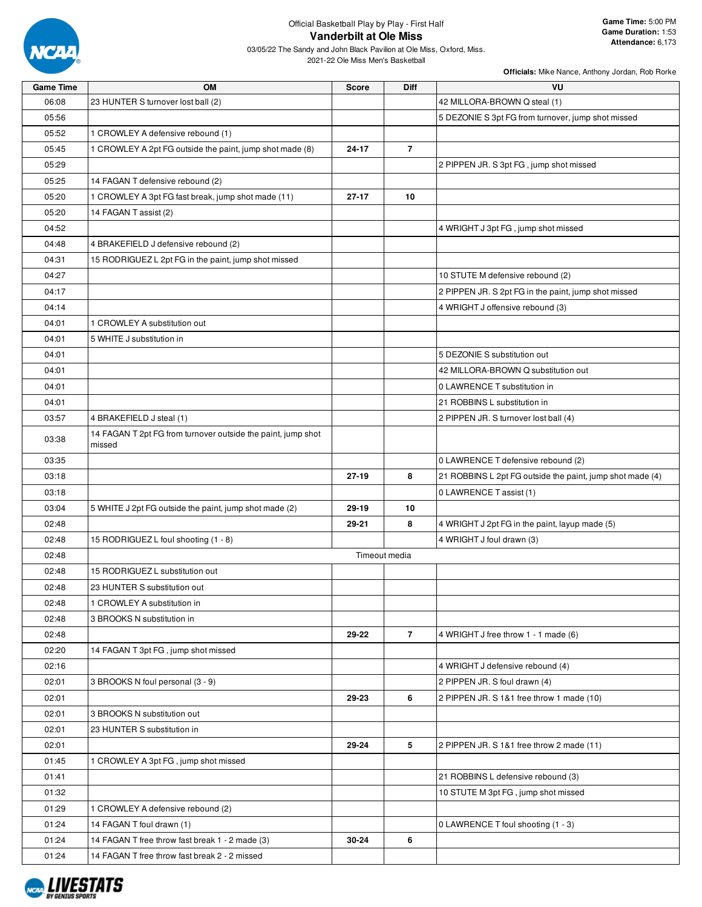

| VU<br><b>Game Time</b><br><b>OM</b><br>Diff<br>Score                                         |  |
|----------------------------------------------------------------------------------------------|--|
| 06:08<br>23 HUNTER S turnover lost ball (2)<br>42 MILLORA-BROWN Q steal (1)                  |  |
| 05:56<br>5 DEZONIE S 3pt FG from turnover, jump shot missed                                  |  |
| 05:52<br>1 CROWLEY A defensive rebound (1)                                                   |  |
| 05:45<br>1 CROWLEY A 2pt FG outside the paint, jump shot made (8)<br>24-17<br>$\overline{7}$ |  |
| 05:29<br>2 PIPPEN JR. S 3pt FG, jump shot missed                                             |  |
| 05:25<br>14 FAGAN T defensive rebound (2)                                                    |  |
| 05:20<br>1 CROWLEY A 3pt FG fast break, jump shot made (11)<br>$27 - 17$<br>10               |  |
| 05:20<br>14 FAGAN T assist (2)                                                               |  |
| 04:52<br>4 WRIGHT J 3pt FG, jump shot missed                                                 |  |
| 04:48<br>4 BRAKEFIELD J defensive rebound (2)                                                |  |
| 15 RODRIGUEZ L 2pt FG in the paint, jump shot missed<br>04:31                                |  |
| 04:27<br>10 STUTE M defensive rebound (2)                                                    |  |
| 04:17<br>2 PIPPEN JR. S 2pt FG in the paint, jump shot missed                                |  |
| 4 WRIGHT J offensive rebound (3)<br>04:14                                                    |  |
| 04:01<br>1 CROWLEY A substitution out                                                        |  |
| 04:01<br>5 WHITE J substitution in                                                           |  |
| 04:01<br>5 DEZONIE S substitution out                                                        |  |
| 04:01<br>42 MILLORA-BROWN Q substitution out                                                 |  |
| 04:01<br>0 LAWRENCE T substitution in                                                        |  |
| 04:01<br>21 ROBBINS L substitution in                                                        |  |
| 03:57<br>4 BRAKEFIELD J steal (1)<br>2 PIPPEN JR. S turnover lost ball (4)                   |  |
| 14 FAGAN T 2pt FG from turnover outside the paint, jump shot<br>03:38<br>missed              |  |
| 03:35<br>0 LAWRENCE T defensive rebound (2)                                                  |  |
| 8<br>03:18<br>$27 - 19$<br>21 ROBBINS L 2pt FG outside the paint, jump shot made (4)         |  |
| 03:18<br>0 LAWRENCE T assist (1)                                                             |  |
| 03:04<br>5 WHITE J 2pt FG outside the paint, jump shot made (2)<br>29-19<br>10               |  |
| 8<br>02:48<br>29-21<br>4 WRIGHT J 2pt FG in the paint, layup made (5)                        |  |
| 02:48<br>15 RODRIGUEZ L foul shooting (1 - 8)<br>4 WRIGHT J foul drawn (3)                   |  |
| 02:48<br>Timeout media                                                                       |  |
| 02:48<br>15 RODRIGUEZ L substitution out                                                     |  |
| 02:48<br>23 HUNTER S substitution out                                                        |  |
| 02:48<br>1 CROWLEY A substitution in                                                         |  |
| 02:48<br>3 BROOKS N substitution in                                                          |  |
| $\overline{7}$<br>02:48<br>29-22<br>4 WRIGHT J free throw 1 - 1 made (6)                     |  |
| 14 FAGAN T 3pt FG, jump shot missed<br>02:20                                                 |  |
| 02:16<br>4 WRIGHT J defensive rebound (4)                                                    |  |
| 3 BROOKS N foul personal (3 - 9)<br>2 PIPPEN JR. S foul drawn (4)<br>02:01                   |  |
| 6<br>02:01<br>29-23<br>2 PIPPEN JR. S 1&1 free throw 1 made (10)                             |  |
| 02:01<br>3 BROOKS N substitution out                                                         |  |
| 23 HUNTER S substitution in<br>02:01                                                         |  |
| 5<br>02:01<br>29-24<br>2 PIPPEN JR. S 1&1 free throw 2 made (11)                             |  |
| 01:45<br>1 CROWLEY A 3pt FG, jump shot missed                                                |  |
| 01:41<br>21 ROBBINS L defensive rebound (3)                                                  |  |
| 01:32<br>10 STUTE M 3pt FG, jump shot missed                                                 |  |
| 01:29<br>1 CROWLEY A defensive rebound (2)                                                   |  |
| 01:24<br>14 FAGAN T foul drawn (1)<br>0 LAWRENCE T foul shooting (1 - 3)                     |  |
| 6<br>01:24<br>14 FAGAN T free throw fast break 1 - 2 made (3)<br>30-24                       |  |
| 01:24<br>14 FAGAN T free throw fast break 2 - 2 missed                                       |  |

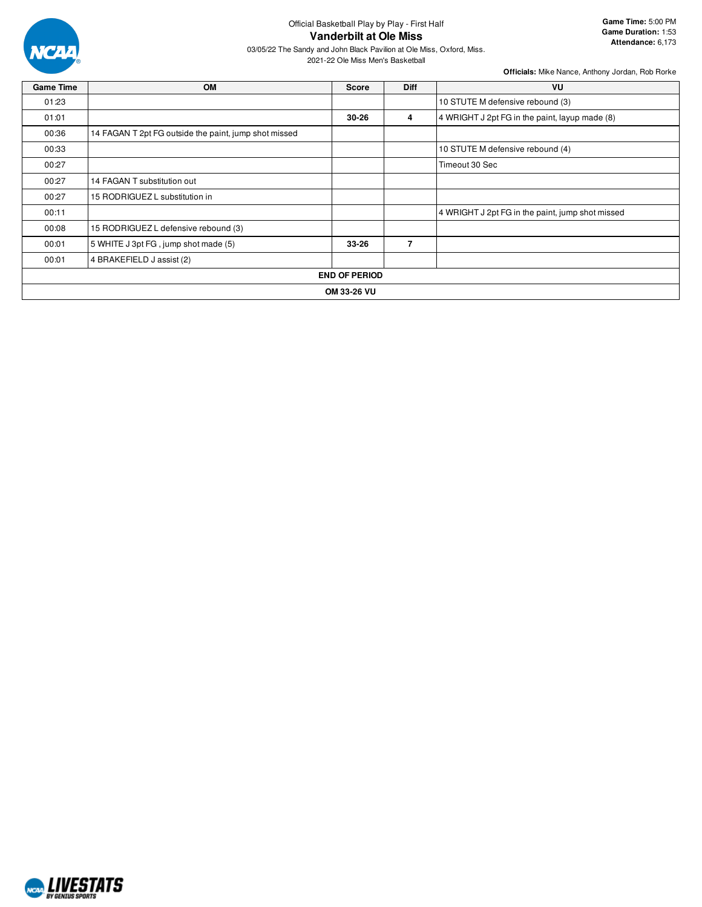

## Official Basketball Play by Play - First Half **Vanderbilt at Ole Miss**

03/05/22 The Sandy and John Black Pavilion at Ole Miss, Oxford, Miss.

2021-22 Ole Miss Men's Basketball

| <b>Game Time</b> | <b>OM</b>                                             | <b>Score</b>         | <b>Diff</b>    | VU                                               |
|------------------|-------------------------------------------------------|----------------------|----------------|--------------------------------------------------|
| 01:23            |                                                       |                      |                | 10 STUTE M defensive rebound (3)                 |
| 01:01            |                                                       | $30 - 26$            | 4              | 4 WRIGHT J 2pt FG in the paint, layup made (8)   |
| 00:36            | 14 FAGAN T 2pt FG outside the paint, jump shot missed |                      |                |                                                  |
| 00:33            |                                                       |                      |                | 10 STUTE M defensive rebound (4)                 |
| 00:27            |                                                       |                      |                | Timeout 30 Sec                                   |
| 00:27            | 14 FAGAN T substitution out                           |                      |                |                                                  |
| 00:27            | 15 RODRIGUEZ L substitution in                        |                      |                |                                                  |
| 00:11            |                                                       |                      |                | 4 WRIGHT J 2pt FG in the paint, jump shot missed |
| 00:08            | 15 RODRIGUEZ L defensive rebound (3)                  |                      |                |                                                  |
| 00:01            | 5 WHITE J 3pt FG, jump shot made (5)                  | $33 - 26$            | $\overline{7}$ |                                                  |
| 00:01            | 4 BRAKEFIELD J assist (2)                             |                      |                |                                                  |
|                  |                                                       | <b>END OF PERIOD</b> |                |                                                  |
|                  |                                                       | OM 33-26 VU          |                |                                                  |

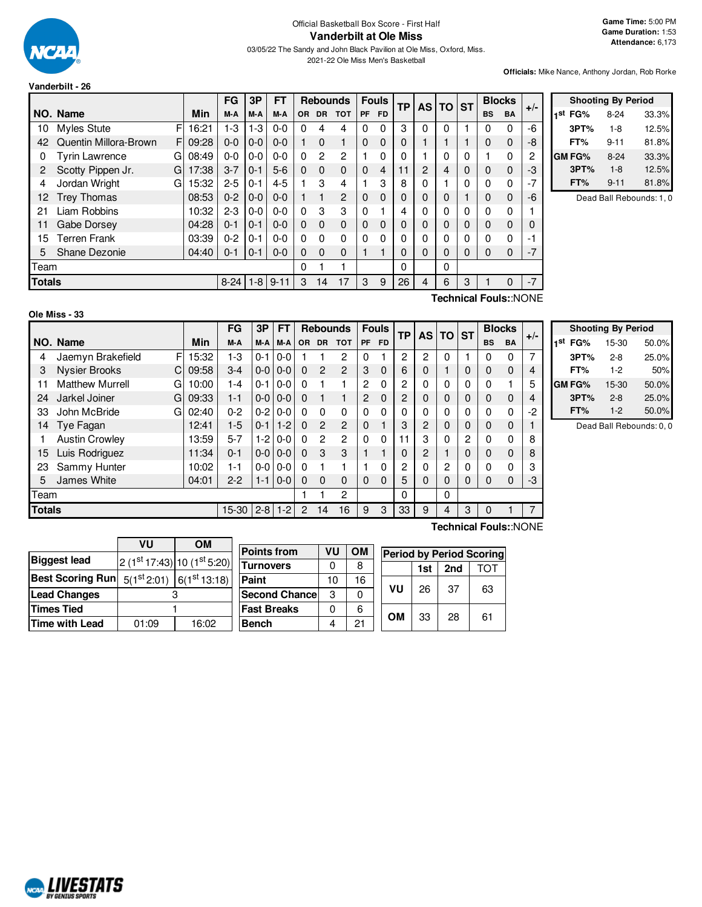

## Official Basketball Box Score - First Half **Vanderbilt at Ole Miss**

03/05/22 The Sandy and John Black Pavilion at Ole Miss, Oxford, Miss. 2021-22 Ole Miss Men's Basketball

**Game Time:** 5:00 PM **Game Duration:** 1:53 **Attendance:** 6,173

**Officials:** Mike Nance, Anthony Jordan, Rob Rorke

|               |                       |    |       | <b>FG</b> | 3P      | <b>FT</b> |          | <b>Rebounds</b> |                |             | <b>Fouls</b> | ТP | AS I          | <b>TO</b> | <b>ST</b> |             | <b>Blocks</b> | $+/-$        |
|---------------|-----------------------|----|-------|-----------|---------|-----------|----------|-----------------|----------------|-------------|--------------|----|---------------|-----------|-----------|-------------|---------------|--------------|
|               | NO. Name              |    | Min   | M-A       | M-A     | M-A       | OR.      | <b>DR</b>       | <b>TOT</b>     | <b>PF</b>   | <b>FD</b>    |    |               |           |           | <b>BS</b>   | <b>BA</b>     |              |
| 10            | <b>Myles Stute</b>    | F  | 16:21 | 1-3       | $1 - 3$ | $0 - 0$   | $\Omega$ | 4               | 4              | $\Omega$    | 0            | 3  | 0             | 0         |           | 0           | 0             | -6           |
| 42            | Quentin Millora-Brown | FI | 09:28 | $0 - 0$   | $0 - 0$ | $0 - 0$   |          | $\Omega$        | 1              | $\Omega$    | $\Omega$     | 0  |               |           |           | 0           | 0             | -8           |
| 0             | <b>Tyrin Lawrence</b> | G  | 08:49 | $0 - 0$   | $0 - 0$ | $0 - 0$   | $\Omega$ | $\overline{2}$  | $\overline{2}$ |             | 0            | 0  |               | 0         | 0         | 1           | 0             | 2            |
| 2             | Scotty Pippen Jr.     | G  | 17:38 | $3 - 7$   | $0 - 1$ | $5-6$     | $\Omega$ | $\mathbf 0$     | $\Omega$       | $\mathbf 0$ | 4            | 11 | $\mathcal{P}$ | 4         | 0         | 0           | 0             | -3           |
| 4             | Jordan Wright         | G  | 15:32 | $2 - 5$   | $0 - 1$ | $4 - 5$   |          | 3               | 4              |             | 3            | 8  | 0             |           | 0         | $\Omega$    | 0             | $-7$         |
| 12            | <b>Trey Thomas</b>    |    | 08:53 | $0 - 2$   | $0 - 0$ | $0 - 0$   |          | 1               | $\mathcal{P}$  | $\mathbf 0$ | 0            | 0  | 0             | 0         |           | 0           | 0             | -6           |
| 21            | Liam Robbins          |    | 10:32 | $2 - 3$   | $0 - 0$ | $0 - 0$   | $\Omega$ | 3               | 3              | $\Omega$    |              | 4  | 0             | $\Omega$  | 0         | $\Omega$    | 0             |              |
| 11            | Gabe Dorsey           |    | 04:28 | $0 - 1$   | $0 - 1$ | $0 - 0$   | $\Omega$ | $\Omega$        | $\Omega$       | $\Omega$    | 0            | 0  | 0             | 0         | 0         | 0           | 0             | 0            |
| 15            | Terren Frank          |    | 03:39 | $0 - 2$   | $0 - 1$ | $0 - 0$   | $\Omega$ | $\Omega$        | $\Omega$       | $\Omega$    | 0            | 0  | 0             | $\Omega$  | 0         | $\Omega$    | $\Omega$      | -1           |
| 5             | Shane Dezonie         |    | 04:40 | $0 - 1$   | $0 - 1$ | $0 - 0$   | $\Omega$ | $\Omega$        | $\Omega$       |             |              | 0  | 0             | 0         | 0         | $\mathbf 0$ | 0             | $-7$         |
| Team          |                       |    |       |           |         |           | $\Omega$ |                 |                |             |              | 0  |               | 0         |           |             |               |              |
| <b>Totals</b> |                       |    |       | $8 - 24$  | $1 - 8$ | $9 - 11$  | 3        | 14              | 17             | 3           | 9            | 26 | 4             | 6         | 3         |             | 0             | $-7$         |
|               |                       |    |       |           |         |           |          |                 |                |             |              |    |               |           |           |             |               | <b>ALONE</b> |

|                     | <b>Shooting By Period</b> |       |
|---------------------|---------------------------|-------|
| 1 <sup>st</sup> FG% | 8-24                      | 33.3% |
| 3PT%                | $1-8$                     | 12.5% |
| FT%                 | $9 - 11$                  | 81.8% |
| GM FG%              | 8-24                      | 33.3% |
| 3PT%                | $1 - 8$                   | 12.5% |
| FT%                 | $9 - 11$                  | 81.8% |

Dead Ball Rebounds: 1, 0

#### **Ole Miss - 33**

**Technical Fouls:**:NONE

|               |                             |       | FG      | 3Р            | <b>FT</b>     |           | <b>Rebounds</b> |                |           | <b>Fouls</b> | <b>TP</b> | <b>AS</b> | <b>TO</b> | <b>ST</b>    | <b>Blocks</b> |             | $+/-$ |
|---------------|-----------------------------|-------|---------|---------------|---------------|-----------|-----------------|----------------|-----------|--------------|-----------|-----------|-----------|--------------|---------------|-------------|-------|
|               | NO. Name                    | Min   | M-A     | $M-A$         | M-A           | <b>OR</b> | <b>DR</b>       | <b>TOT</b>     | <b>PF</b> | <b>FD</b>    |           |           |           |              | <b>BS</b>     | <b>BA</b>   |       |
| 4             | F<br>Jaemyn Brakefield      | 15:32 | 1-3     | $0 - 1$       | $0 - 0$       |           |                 | 2              | 0         |              | 2         | 2         | 0         |              | $\Omega$      | 0           | 7     |
| 3             | <b>Nysier Brooks</b><br>C   | 09:58 | $3-4$   | $0 - 0 0 - 0$ |               | $\Omega$  | $\overline{2}$  | $\mathcal{P}$  | 3         | $\mathbf 0$  | 6         | 0         |           | 0            | $\Omega$      | $\mathbf 0$ | 4     |
| 11            | <b>Matthew Murrell</b><br>G | 10:00 | 1-4     | $0 - 1$       | $0 - 0$       | $\Omega$  |                 |                | 2         | 0            | 2         | 0         | 0         | $\mathbf{0}$ | 0             |             | 5     |
| 24            | Jarkel Joiner<br>G          | 09:33 | $1 - 1$ | $0 - 0 0 - 0$ |               | $\Omega$  |                 |                | 2         | 0            | 2         | 0         | $\Omega$  | $\mathbf 0$  | 0             | $\mathbf 0$ | 4     |
| 33            | John McBride<br>G           | 02:40 | $0 - 2$ | $0-2$         | $0 - 0$       | 0         | $\Omega$        | 0              | 0         | 0            | 0         | 0         | 0         | 0            | $\Omega$      | 0           | $-2$  |
| 14            | Tye Fagan                   | 12:41 | $1-5$   | $0 - 1$       | $1 - 2$       | $\Omega$  | $\overline{2}$  | $\overline{2}$ | 0         |              | 3         | 2         | $\Omega$  | $\mathbf 0$  | 0             | 0           |       |
|               | <b>Austin Crowley</b>       | 13:59 | $5 - 7$ | $1-2$         | $0 - 0$       | $\Omega$  | $\overline{2}$  | $\overline{2}$ | 0         | 0            | 11        | 3         | $\Omega$  | 2            | $\Omega$      | 0           | 8     |
| 15            | Luis Rodriguez              | 11:34 | $0 - 1$ | $0 - 0 0 - 0$ |               | $\Omega$  | 3               | 3              |           |              | 0         | 2         |           | $\mathbf 0$  | $\mathbf 0$   | $\mathbf 0$ | 8     |
| 23            | Sammy Hunter                | 10:02 | 1-1     | $0-0$         | $0 - 0$       | 0         |                 |                |           | 0            | 2         | 0         | 2         | 0            | $\Omega$      | 0           | 3     |
| 5             | James White                 | 04:01 | $2 - 2$ |               | $1 - 110 - 0$ | $\Omega$  | $\Omega$        | $\Omega$       | 0         | 0            | 5         | 0         | 0         | $\Omega$     | $\Omega$      | 0           | -3    |
| Team          |                             |       |         |               |               |           |                 | $\overline{c}$ |           |              | 0         |           | 0         |              |               |             |       |
| <b>Totals</b> |                             |       | 15-30   | $2 - 8$       | $1 - 2$       | 2         | 14              | 16             | 9         | 3            | 33        | 9         | 4         | 3            | $\mathbf 0$   |             |       |

h

| <b>Shooting By Period</b> |         |       |  |  |  |  |  |  |  |  |
|---------------------------|---------|-------|--|--|--|--|--|--|--|--|
| 1st<br>FG%                | 15-30   | 50.0% |  |  |  |  |  |  |  |  |
| 3PT%                      | $2 - 8$ | 25.0% |  |  |  |  |  |  |  |  |
| FT%                       | $1-2$   | 50%   |  |  |  |  |  |  |  |  |
| <b>GM FG%</b>             | 15-30   | 50.0% |  |  |  |  |  |  |  |  |
| 3PT%                      | $2 - 8$ | 25.0% |  |  |  |  |  |  |  |  |
| FT%                       | $1 - 2$ | 50.0% |  |  |  |  |  |  |  |  |

Dead Ball Rebounds: 0, 0

|                         | VU    | ΟM                                       |  |  |  |  |  |
|-------------------------|-------|------------------------------------------|--|--|--|--|--|
| <b>Biggest lead</b>     |       | 2 (1st 17:43) 10 (1st 5:20)              |  |  |  |  |  |
| <b>Best Scoring Run</b> |       | $5(1^{st}2:01)$ 6(1 <sup>st</sup> 13:18) |  |  |  |  |  |
| <b>Lead Changes</b>     |       |                                          |  |  |  |  |  |
| <b>Times Tied</b>       |       |                                          |  |  |  |  |  |
| Time with Lead          | 01:09 | 16:02                                    |  |  |  |  |  |

| <b>Points from</b>    | VU | ΟМ | <b>Period by Period Scoring</b> |                  |    |    |  |  |  |  |
|-----------------------|----|----|---------------------------------|------------------|----|----|--|--|--|--|
| Turnovers             |    | 8  |                                 | 2nd<br>דר<br>1st |    |    |  |  |  |  |
| Paint                 | 10 | 16 |                                 |                  |    |    |  |  |  |  |
| <b>Second Chancel</b> | З  |    | VU                              | 26               | 37 | 63 |  |  |  |  |
| <b>Fast Breaks</b>    |    | 6  | OM                              | 33               | 28 | 61 |  |  |  |  |
| Bench                 |    | 21 |                                 |                  |    |    |  |  |  |  |

**Technical Fouls:**:NONE

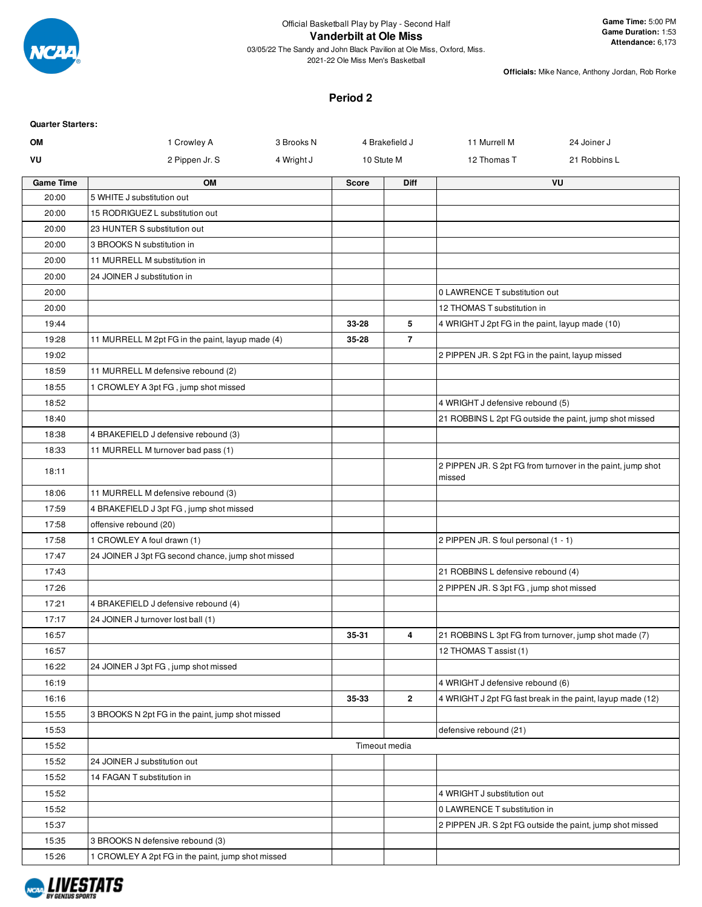

**Officials:** Mike Nance, Anthony Jordan, Rob Rorke

## **Period 2**

| <b>Quarter Starters:</b><br><b>OM</b> | 1 Crowley A                                        | 3 Brooks N |              | 4 Brakefield J | 11 Murrell M                                     | 24 Joiner J                                                 |
|---------------------------------------|----------------------------------------------------|------------|--------------|----------------|--------------------------------------------------|-------------------------------------------------------------|
| VU                                    | 2 Pippen Jr. S                                     | 4 Wright J | 10 Stute M   |                | 12 Thomas T                                      | 21 Robbins L                                                |
|                                       |                                                    |            |              |                |                                                  |                                                             |
| <b>Game Time</b>                      | <b>OM</b>                                          |            | <b>Score</b> | <b>Diff</b>    |                                                  | VU                                                          |
| 20:00                                 | 5 WHITE J substitution out                         |            |              |                |                                                  |                                                             |
| 20:00                                 | 15 RODRIGUEZ L substitution out                    |            |              |                |                                                  |                                                             |
| 20:00                                 | 23 HUNTER S substitution out                       |            |              |                |                                                  |                                                             |
| 20:00                                 | 3 BROOKS N substitution in                         |            |              |                |                                                  |                                                             |
| 20:00                                 | 11 MURRELL M substitution in                       |            |              |                |                                                  |                                                             |
| 20:00                                 | 24 JOINER J substitution in                        |            |              |                |                                                  |                                                             |
| 20:00                                 |                                                    |            |              |                | 0 LAWRENCE T substitution out                    |                                                             |
| 20:00                                 |                                                    |            |              |                | 12 THOMAS T substitution in                      |                                                             |
| 19:44                                 |                                                    |            | 33-28        | 5              | 4 WRIGHT J 2pt FG in the paint, layup made (10)  |                                                             |
| 19:28                                 | 11 MURRELL M 2pt FG in the paint, layup made (4)   |            | 35-28        | $\overline{7}$ |                                                  |                                                             |
| 19:02                                 |                                                    |            |              |                | 2 PIPPEN JR. S 2pt FG in the paint, layup missed |                                                             |
| 18:59                                 | 11 MURRELL M defensive rebound (2)                 |            |              |                |                                                  |                                                             |
| 18:55                                 | 1 CROWLEY A 3pt FG, jump shot missed               |            |              |                |                                                  |                                                             |
| 18:52                                 |                                                    |            |              |                | 4 WRIGHT J defensive rebound (5)                 |                                                             |
| 18:40                                 |                                                    |            |              |                |                                                  | 21 ROBBINS L 2pt FG outside the paint, jump shot missed     |
| 18:38                                 | 4 BRAKEFIELD J defensive rebound (3)               |            |              |                |                                                  |                                                             |
| 18:33                                 | 11 MURRELL M turnover bad pass (1)                 |            |              |                |                                                  |                                                             |
| 18:11                                 |                                                    |            |              |                | missed                                           | 2 PIPPEN JR. S 2pt FG from turnover in the paint, jump shot |
| 18:06                                 | 11 MURRELL M defensive rebound (3)                 |            |              |                |                                                  |                                                             |
| 17:59                                 | 4 BRAKEFIELD J 3pt FG, jump shot missed            |            |              |                |                                                  |                                                             |
| 17:58                                 | offensive rebound (20)                             |            |              |                |                                                  |                                                             |
| 17:58                                 | 1 CROWLEY A foul drawn (1)                         |            |              |                | 2 PIPPEN JR. S foul personal (1 - 1)             |                                                             |
| 17:47                                 | 24 JOINER J 3pt FG second chance, jump shot missed |            |              |                |                                                  |                                                             |
| 17:43                                 |                                                    |            |              |                | 21 ROBBINS L defensive rebound (4)               |                                                             |
| 17:26                                 |                                                    |            |              |                | 2 PIPPEN JR. S 3pt FG, jump shot missed          |                                                             |
| 17:21                                 | 4 BRAKEFIELD J defensive rebound (4)               |            |              |                |                                                  |                                                             |
| 17:17                                 | 24 JOINER J turnover lost ball (1)                 |            |              |                |                                                  |                                                             |
| 16:57                                 |                                                    |            | 35-31        | 4              |                                                  | 21 ROBBINS L 3pt FG from turnover, jump shot made (7)       |
| 16:57                                 |                                                    |            |              |                | 12 THOMAS T assist (1)                           |                                                             |
| 16:22                                 | 24 JOINER J 3pt FG, jump shot missed               |            |              |                |                                                  |                                                             |
| 16:19                                 |                                                    |            |              |                | 4 WRIGHT J defensive rebound (6)                 |                                                             |
| 16:16                                 |                                                    |            | 35-33        | $\overline{2}$ |                                                  | 4 WRIGHT J 2pt FG fast break in the paint, layup made (12)  |
| 15:55                                 | 3 BROOKS N 2pt FG in the paint, jump shot missed   |            |              |                |                                                  |                                                             |
| 15:53                                 |                                                    |            |              |                | defensive rebound (21)                           |                                                             |
| 15:52                                 |                                                    |            |              | Timeout media  |                                                  |                                                             |
| 15:52                                 | 24 JOINER J substitution out                       |            |              |                |                                                  |                                                             |
| 15:52                                 | 14 FAGAN T substitution in                         |            |              |                |                                                  |                                                             |
| 15:52                                 |                                                    |            |              |                | 4 WRIGHT J substitution out                      |                                                             |
| 15:52                                 |                                                    |            |              |                | 0 LAWRENCE T substitution in                     |                                                             |
| 15:37                                 |                                                    |            |              |                |                                                  | 2 PIPPEN JR. S 2pt FG outside the paint, jump shot missed   |
| 15:35                                 | 3 BROOKS N defensive rebound (3)                   |            |              |                |                                                  |                                                             |
| 15:26                                 | 1 CROWLEY A 2pt FG in the paint, jump shot missed  |            |              |                |                                                  |                                                             |
|                                       |                                                    |            |              |                |                                                  |                                                             |

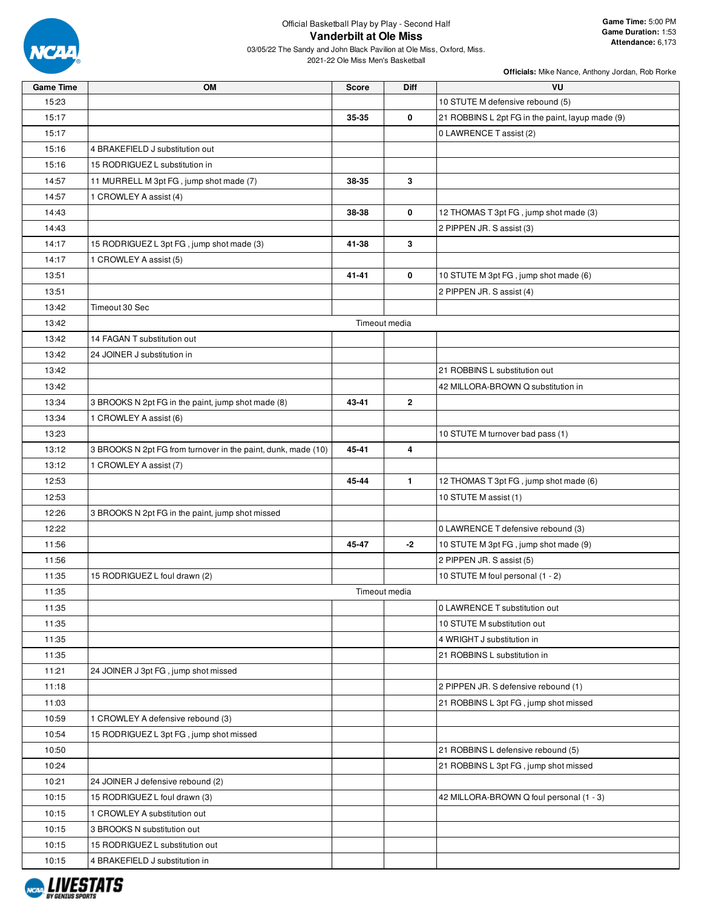

**Game Time:** 5:00 PM **Game Duration:** 1:53 **Attendance:** 6,173

03/05/22 The Sandy and John Black Pavilion at Ole Miss, Oxford, Miss. 2021-22 Ole Miss Men's Basketball

| <b>Game Time</b> | OM                                                            | <b>Score</b> | <b>Diff</b>   | VU                                               |
|------------------|---------------------------------------------------------------|--------------|---------------|--------------------------------------------------|
| 15:23            |                                                               |              |               | 10 STUTE M defensive rebound (5)                 |
| 15:17            |                                                               | 35-35        | 0             | 21 ROBBINS L 2pt FG in the paint, layup made (9) |
| 15:17            |                                                               |              |               | 0 LAWRENCE T assist (2)                          |
| 15:16            | 4 BRAKEFIELD J substitution out                               |              |               |                                                  |
| 15:16            | 15 RODRIGUEZ L substitution in                                |              |               |                                                  |
| 14:57            | 11 MURRELL M 3pt FG, jump shot made (7)                       | 38-35        | 3             |                                                  |
| 14:57            | 1 CROWLEY A assist (4)                                        |              |               |                                                  |
| 14:43            |                                                               | 38-38        | 0             | 12 THOMAS T 3pt FG, jump shot made (3)           |
| 14:43            |                                                               |              |               | 2 PIPPEN JR. S assist (3)                        |
| 14:17            | 15 RODRIGUEZ L 3pt FG, jump shot made (3)                     | 41-38        | 3             |                                                  |
| 14:17            | 1 CROWLEY A assist (5)                                        |              |               |                                                  |
| 13:51            |                                                               | 41-41        | 0             | 10 STUTE M 3pt FG, jump shot made (6)            |
| 13:51            |                                                               |              |               | 2 PIPPEN JR. S assist (4)                        |
| 13:42            | Timeout 30 Sec                                                |              |               |                                                  |
| 13:42            |                                                               |              | Timeout media |                                                  |
| 13:42            | 14 FAGAN T substitution out                                   |              |               |                                                  |
| 13:42            | 24 JOINER J substitution in                                   |              |               |                                                  |
| 13:42            |                                                               |              |               | 21 ROBBINS L substitution out                    |
| 13:42            |                                                               |              |               | 42 MILLORA-BROWN Q substitution in               |
| 13:34            | 3 BROOKS N 2pt FG in the paint, jump shot made (8)            | 43-41        | $\mathbf{2}$  |                                                  |
| 13:34            | 1 CROWLEY A assist (6)                                        |              |               |                                                  |
| 13:23            |                                                               |              |               | 10 STUTE M turnover bad pass (1)                 |
| 13:12            | 3 BROOKS N 2pt FG from turnover in the paint, dunk, made (10) | 45-41        | 4             |                                                  |
| 13:12            | 1 CROWLEY A assist (7)                                        |              |               |                                                  |
| 12:53            |                                                               | 45-44        | $\mathbf{1}$  | 12 THOMAS T 3pt FG, jump shot made (6)           |
| 12:53            |                                                               |              |               | 10 STUTE M assist (1)                            |
| 12:26            | 3 BROOKS N 2pt FG in the paint, jump shot missed              |              |               |                                                  |
| 12:22            |                                                               |              |               | 0 LAWRENCE T defensive rebound (3)               |
| 11:56            |                                                               | 45-47        | -2            | 10 STUTE M 3pt FG, jump shot made (9)            |
| 11:56            |                                                               |              |               | 2 PIPPEN JR. S assist (5)                        |
| 11:35            | 15 RODRIGUEZ L foul drawn (2)                                 |              |               | 10 STUTE M foul personal (1 - 2)                 |
| 11:35            |                                                               |              | Timeout media |                                                  |
| 11:35            |                                                               |              |               | 0 LAWRENCE T substitution out                    |
| 11:35            |                                                               |              |               | 10 STUTE M substitution out                      |
| 11:35            |                                                               |              |               | 4 WRIGHT J substitution in                       |
| 11:35            |                                                               |              |               | 21 ROBBINS L substitution in                     |
| 11:21            | 24 JOINER J 3pt FG, jump shot missed                          |              |               |                                                  |
| 11:18            |                                                               |              |               | 2 PIPPEN JR. S defensive rebound (1)             |
| 11:03            |                                                               |              |               | 21 ROBBINS L 3pt FG, jump shot missed            |
| 10:59            | 1 CROWLEY A defensive rebound (3)                             |              |               |                                                  |
| 10:54            | 15 RODRIGUEZ L 3pt FG, jump shot missed                       |              |               |                                                  |
| 10:50            |                                                               |              |               | 21 ROBBINS L defensive rebound (5)               |
| 10:24            |                                                               |              |               | 21 ROBBINS L 3pt FG, jump shot missed            |
| 10:21            | 24 JOINER J defensive rebound (2)                             |              |               |                                                  |
| 10:15            | 15 RODRIGUEZ L foul drawn (3)                                 |              |               | 42 MILLORA-BROWN Q foul personal (1 - 3)         |
| 10:15            | 1 CROWLEY A substitution out                                  |              |               |                                                  |
| 10:15            | 3 BROOKS N substitution out                                   |              |               |                                                  |
| 10:15            | 15 RODRIGUEZ L substitution out                               |              |               |                                                  |
| 10:15            | 4 BRAKEFIELD J substitution in                                |              |               |                                                  |

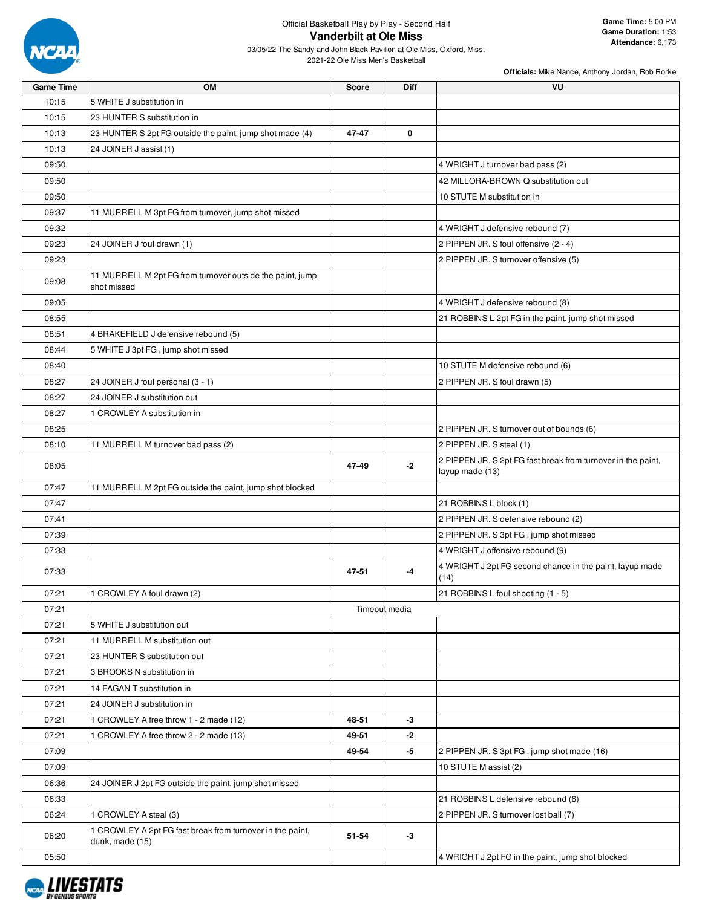

| <b>Game Time</b> | <b>OM</b>                                                                    | <b>Score</b> | <b>Diff</b>   | VU                                                                              |
|------------------|------------------------------------------------------------------------------|--------------|---------------|---------------------------------------------------------------------------------|
| 10:15            | 5 WHITE J substitution in                                                    |              |               |                                                                                 |
| 10:15            | 23 HUNTER S substitution in                                                  |              |               |                                                                                 |
| 10:13            | 23 HUNTER S 2pt FG outside the paint, jump shot made (4)                     | 47-47        | 0             |                                                                                 |
| 10:13            | 24 JOINER J assist (1)                                                       |              |               |                                                                                 |
| 09:50            |                                                                              |              |               | 4 WRIGHT J turnover bad pass (2)                                                |
| 09:50            |                                                                              |              |               | 42 MILLORA-BROWN Q substitution out                                             |
| 09:50            |                                                                              |              |               | 10 STUTE M substitution in                                                      |
| 09:37            | 11 MURRELL M 3pt FG from turnover, jump shot missed                          |              |               |                                                                                 |
| 09:32            |                                                                              |              |               | 4 WRIGHT J defensive rebound (7)                                                |
| 09:23            | 24 JOINER J foul drawn (1)                                                   |              |               | 2 PIPPEN JR. S foul offensive (2 - 4)                                           |
| 09:23            |                                                                              |              |               | 2 PIPPEN JR. S turnover offensive (5)                                           |
| 09:08            | 11 MURRELL M 2pt FG from turnover outside the paint, jump<br>shot missed     |              |               |                                                                                 |
| 09:05            |                                                                              |              |               | 4 WRIGHT J defensive rebound (8)                                                |
| 08:55            |                                                                              |              |               | 21 ROBBINS L 2pt FG in the paint, jump shot missed                              |
| 08:51            | 4 BRAKEFIELD J defensive rebound (5)                                         |              |               |                                                                                 |
| 08:44            | 5 WHITE J 3pt FG, jump shot missed                                           |              |               |                                                                                 |
| 08:40            |                                                                              |              |               | 10 STUTE M defensive rebound (6)                                                |
| 08:27            | 24 JOINER J foul personal (3 - 1)                                            |              |               | 2 PIPPEN JR. S foul drawn (5)                                                   |
| 08:27            | 24 JOINER J substitution out                                                 |              |               |                                                                                 |
| 08:27            | 1 CROWLEY A substitution in                                                  |              |               |                                                                                 |
| 08:25            |                                                                              |              |               | 2 PIPPEN JR. S turnover out of bounds (6)                                       |
| 08:10            | 11 MURRELL M turnover bad pass (2)                                           |              |               | 2 PIPPEN JR. S steal (1)                                                        |
| 08:05            |                                                                              | 47-49        | $-2$          | 2 PIPPEN JR. S 2pt FG fast break from turnover in the paint,<br>layup made (13) |
| 07:47            | 11 MURRELL M 2pt FG outside the paint, jump shot blocked                     |              |               |                                                                                 |
| 07:47            |                                                                              |              |               | 21 ROBBINS L block (1)                                                          |
| 07:41            |                                                                              |              |               | 2 PIPPEN JR. S defensive rebound (2)                                            |
| 07:39            |                                                                              |              |               | 2 PIPPEN JR. S 3pt FG, jump shot missed                                         |
| 07:33            |                                                                              |              |               | 4 WRIGHT J offensive rebound (9)                                                |
| 07:33            |                                                                              | 47-51        | -4            | 4 WRIGHT J 2pt FG second chance in the paint, layup made<br>(14)                |
| 07:21            | 1 CROWLEY A foul drawn (2)                                                   |              |               | 21 ROBBINS L foul shooting (1 - 5)                                              |
| 07:21            |                                                                              |              | Timeout media |                                                                                 |
| 07:21            | 5 WHITE J substitution out                                                   |              |               |                                                                                 |
| 07:21            | 11 MURRELL M substitution out                                                |              |               |                                                                                 |
| 07:21            | 23 HUNTER S substitution out                                                 |              |               |                                                                                 |
| 07:21            | 3 BROOKS N substitution in                                                   |              |               |                                                                                 |
| 07:21            | 14 FAGAN T substitution in                                                   |              |               |                                                                                 |
| 07:21            | 24 JOINER J substitution in                                                  |              |               |                                                                                 |
| 07:21            | 1 CROWLEY A free throw 1 - 2 made (12)                                       | 48-51        | -3            |                                                                                 |
| 07:21            | 1 CROWLEY A free throw 2 - 2 made (13)                                       | 49-51        | -2            |                                                                                 |
| 07:09            |                                                                              | 49-54        | -5            | 2 PIPPEN JR. S 3pt FG, jump shot made (16)                                      |
| 07:09            |                                                                              |              |               | 10 STUTE M assist (2)                                                           |
| 06:36            | 24 JOINER J 2pt FG outside the paint, jump shot missed                       |              |               |                                                                                 |
| 06:33            |                                                                              |              |               | 21 ROBBINS L defensive rebound (6)                                              |
| 06:24            | 1 CROWLEY A steal (3)                                                        |              |               | 2 PIPPEN JR. S turnover lost ball (7)                                           |
| 06:20            | 1 CROWLEY A 2pt FG fast break from turnover in the paint,<br>dunk, made (15) | 51-54        | $-3$          |                                                                                 |
| 05:50            |                                                                              |              |               | 4 WRIGHT J 2pt FG in the paint, jump shot blocked                               |

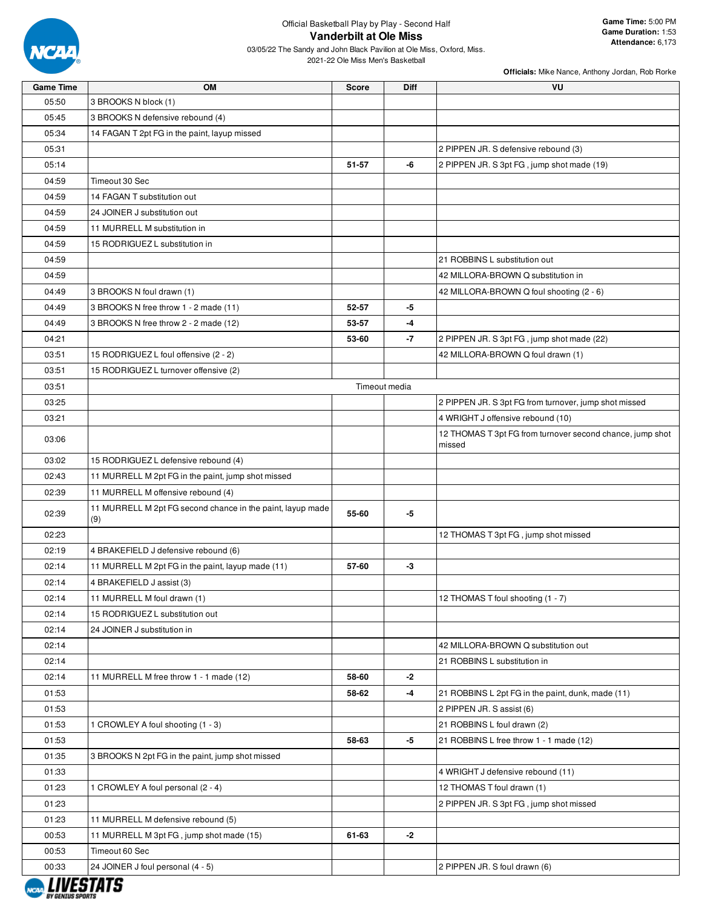

| <b>Game Time</b> | OM                                                                | <b>Score</b> | Diff          | VU                                                                  |
|------------------|-------------------------------------------------------------------|--------------|---------------|---------------------------------------------------------------------|
| 05:50            | 3 BROOKS N block (1)                                              |              |               |                                                                     |
| 05:45            | 3 BROOKS N defensive rebound (4)                                  |              |               |                                                                     |
| 05:34            | 14 FAGAN T 2pt FG in the paint, layup missed                      |              |               |                                                                     |
| 05:31            |                                                                   |              |               | 2 PIPPEN JR. S defensive rebound (3)                                |
| 05:14            |                                                                   | 51-57        | -6            | 2 PIPPEN JR. S 3pt FG, jump shot made (19)                          |
| 04:59            | Timeout 30 Sec                                                    |              |               |                                                                     |
| 04:59            | 14 FAGAN T substitution out                                       |              |               |                                                                     |
| 04:59            | 24 JOINER J substitution out                                      |              |               |                                                                     |
| 04:59            | 11 MURRELL M substitution in                                      |              |               |                                                                     |
| 04:59            | 15 RODRIGUEZ L substitution in                                    |              |               |                                                                     |
| 04:59            |                                                                   |              |               | 21 ROBBINS L substitution out                                       |
| 04:59            |                                                                   |              |               | 42 MILLORA-BROWN Q substitution in                                  |
| 04:49            | 3 BROOKS N foul drawn (1)                                         |              |               | 42 MILLORA-BROWN Q foul shooting (2 - 6)                            |
| 04:49            | 3 BROOKS N free throw 1 - 2 made (11)                             | 52-57        | -5            |                                                                     |
| 04:49            | 3 BROOKS N free throw 2 - 2 made (12)                             | 53-57        | -4            |                                                                     |
| 04:21            |                                                                   | 53-60        | -7            | 2 PIPPEN JR. S 3pt FG, jump shot made (22)                          |
| 03:51            | 15 RODRIGUEZ L foul offensive (2 - 2)                             |              |               | 42 MILLORA-BROWN Q foul drawn (1)                                   |
| 03:51            | 15 RODRIGUEZ L turnover offensive (2)                             |              |               |                                                                     |
| 03:51            |                                                                   |              | Timeout media |                                                                     |
| 03:25            |                                                                   |              |               | 2 PIPPEN JR. S 3pt FG from turnover, jump shot missed               |
| 03:21            |                                                                   |              |               | 4 WRIGHT J offensive rebound (10)                                   |
| 03:06            |                                                                   |              |               | 12 THOMAS T 3pt FG from turnover second chance, jump shot<br>missed |
| 03:02            | 15 RODRIGUEZ L defensive rebound (4)                              |              |               |                                                                     |
| 02:43            | 11 MURRELL M 2pt FG in the paint, jump shot missed                |              |               |                                                                     |
| 02:39            | 11 MURRELL M offensive rebound (4)                                |              |               |                                                                     |
| 02:39            | 11 MURRELL M 2pt FG second chance in the paint, layup made<br>(9) | 55-60        | -5            |                                                                     |
| 02:23            |                                                                   |              |               | 12 THOMAS T 3pt FG, jump shot missed                                |
| 02:19            | 4 BRAKEFIELD J defensive rebound (6)                              |              |               |                                                                     |
| 02:14            | 11 MURRELL M 2pt FG in the paint, layup made (11)                 | 57-60        | -3            |                                                                     |
| 02:14            | 4 BRAKEFIELD J assist (3)                                         |              |               |                                                                     |
| 02:14            | 11 MURRELL M foul drawn (1)                                       |              |               | 12 THOMAS T foul shooting (1 - 7)                                   |
| 02:14            | 15 RODRIGUEZ L substitution out                                   |              |               |                                                                     |
| 02:14            | 24 JOINER J substitution in                                       |              |               |                                                                     |
| 02:14            |                                                                   |              |               | 42 MILLORA-BROWN Q substitution out                                 |
| 02:14            |                                                                   |              |               | 21 ROBBINS L substitution in                                        |
| 02:14            | 11 MURRELL M free throw 1 - 1 made (12)                           | 58-60        | -2            |                                                                     |
| 01:53            |                                                                   | 58-62        | -4            | 21 ROBBINS L 2pt FG in the paint, dunk, made (11)                   |
| 01:53            |                                                                   |              |               | 2 PIPPEN JR. S assist (6)                                           |
| 01:53            | 1 CROWLEY A foul shooting (1 - 3)                                 |              |               | 21 ROBBINS L foul drawn (2)                                         |
| 01:53            |                                                                   | 58-63        | -5            | 21 ROBBINS L free throw 1 - 1 made (12)                             |
| 01:35            | 3 BROOKS N 2pt FG in the paint, jump shot missed                  |              |               |                                                                     |
| 01:33            |                                                                   |              |               | 4 WRIGHT J defensive rebound (11)                                   |
| 01:23            | 1 CROWLEY A foul personal (2 - 4)                                 |              |               | 12 THOMAS T foul drawn (1)                                          |
| 01:23            |                                                                   |              |               | 2 PIPPEN JR. S 3pt FG, jump shot missed                             |
| 01:23            | 11 MURRELL M defensive rebound (5)                                |              |               |                                                                     |
| 00:53            | 11 MURRELL M 3pt FG, jump shot made (15)                          | 61-63        | -2            |                                                                     |
| 00:53            | Timeout 60 Sec                                                    |              |               |                                                                     |
| 00:33            | 24 JOINER J foul personal (4 - 5)                                 |              |               | 2 PIPPEN JR. S foul drawn (6)                                       |

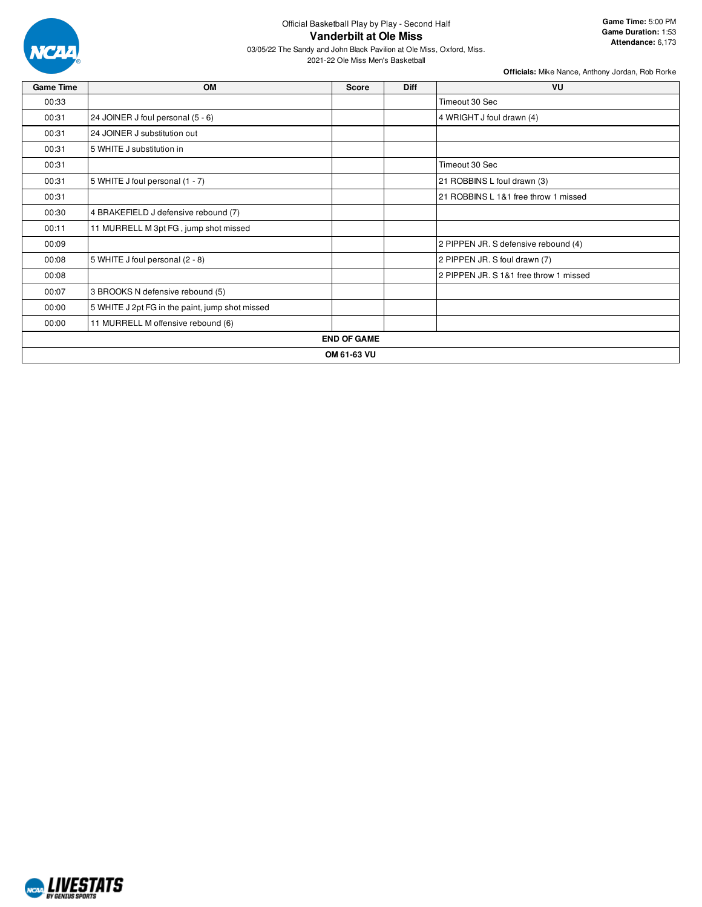

## Official Basketball Play by Play - Second Half **Vanderbilt at Ole Miss**

03/05/22 The Sandy and John Black Pavilion at Ole Miss, Oxford, Miss.

2021-22 Ole Miss Men's Basketball

| <b>Game Time</b> | <b>OM</b>                                       | Score              | <b>Diff</b> | <b>VU</b>                              |
|------------------|-------------------------------------------------|--------------------|-------------|----------------------------------------|
| 00:33            |                                                 |                    |             | Timeout 30 Sec                         |
| 00:31            | 24 JOINER J foul personal (5 - 6)               |                    |             | 4 WRIGHT J foul drawn (4)              |
| 00:31            | 24 JOINER J substitution out                    |                    |             |                                        |
| 00:31            | 5 WHITE J substitution in                       |                    |             |                                        |
| 00:31            |                                                 |                    |             | Timeout 30 Sec                         |
| 00:31            | 5 WHITE J foul personal (1 - 7)                 |                    |             | 21 ROBBINS L foul drawn (3)            |
| 00:31            |                                                 |                    |             | 21 ROBBINS L 1&1 free throw 1 missed   |
| 00:30            | 4 BRAKEFIELD J defensive rebound (7)            |                    |             |                                        |
| 00:11            | 11 MURRELL M 3pt FG, jump shot missed           |                    |             |                                        |
| 00:09            |                                                 |                    |             | 2 PIPPEN JR. S defensive rebound (4)   |
| 00:08            | 5 WHITE J foul personal (2 - 8)                 |                    |             | 2 PIPPEN JR. S foul drawn (7)          |
| 00:08            |                                                 |                    |             | 2 PIPPEN JR. S 1&1 free throw 1 missed |
| 00:07            | 3 BROOKS N defensive rebound (5)                |                    |             |                                        |
| 00:00            | 5 WHITE J 2pt FG in the paint, jump shot missed |                    |             |                                        |
| 00:00            | 11 MURRELL M offensive rebound (6)              |                    |             |                                        |
|                  |                                                 | <b>END OF GAME</b> |             |                                        |
|                  |                                                 | OM 61-63 VU        |             |                                        |

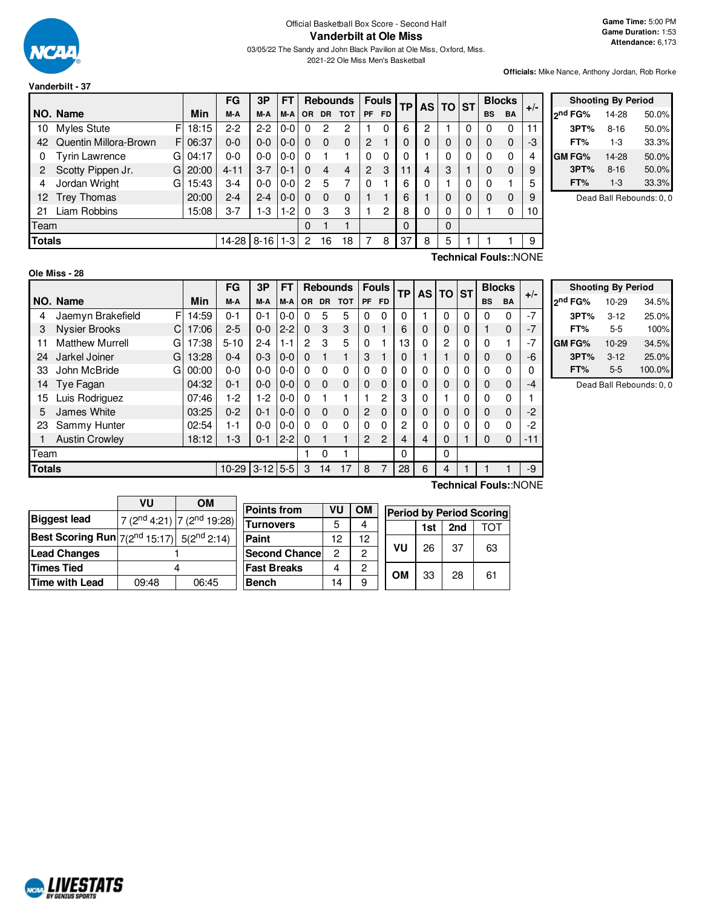

## Official Basketball Box Score - Second Half **Vanderbilt at Ole Miss**

03/05/22 The Sandy and John Black Pavilion at Ole Miss, Oxford, Miss. 2021-22 Ole Miss Men's Basketball

**Officials:** Mike Nance, Anthony Jordan, Rob Rorke

|               |                       |    |            | FG       | 3P       | FT      |           |           | <b>Rebounds</b> |           | <b>Fouls</b> | TP |          | AS TO ST |   |           | <b>Blocks</b> |       |  |
|---------------|-----------------------|----|------------|----------|----------|---------|-----------|-----------|-----------------|-----------|--------------|----|----------|----------|---|-----------|---------------|-------|--|
|               | NO. Name              |    | <b>Min</b> | M-A      | M-A      | M-A     | <b>OR</b> | <b>DR</b> | <b>TOT</b>      | <b>PF</b> | <b>FD</b>    |    |          |          |   | <b>BS</b> | <b>BA</b>     | $+/-$ |  |
| 10            | Myles Stute           | F  | 18:15      | $2 - 2$  | $2-2$    | $0-0$   |           | 2         | 2               |           |              | 6  | 2        |          | 0 |           | 0             | 11    |  |
| 42            | Quentin Millora-Brown | F  | 06:37      | $0 - 0$  | $0 - 0$  | $0-0$   | $\Omega$  | $\Omega$  | $\Omega$        | 2         |              | 0  | $\Omega$ | 0        | 0 | $\Omega$  | $\Omega$      | -3    |  |
| 0             | <b>Tyrin Lawrence</b> | G  | 04:17      | $0 - 0$  | 0-0      | $0-0$   |           |           |                 | 0         | 0            | 0  |          | 0        | 0 | 0         | 0             | 4     |  |
| 2             | Scotty Pippen Jr.     | GI | 20:00      | $4 - 11$ | $3 - 7$  | $0-1$   | $\Omega$  | 4         | 4               | 2         | 3            | 11 | 4        | 3        |   | 0         | $\Omega$      | 9     |  |
| 4             | Jordan Wright         | G  | 15:43      | $3 - 4$  | 0-0      | $0 - 0$ | 2         | 5         |                 | $\Omega$  |              | 6  | $\Omega$ |          | 0 | $\Omega$  |               | 5     |  |
| 12            | <b>Trey Thomas</b>    |    | 20:00      | $2 - 4$  | $2 - 4$  | $0 - 0$ | $\Omega$  | $\Omega$  | $\Omega$        |           |              | 6  |          | 0        | 0 | 0         | $\Omega$      | 9     |  |
| 21            | Liam Robbins          |    | 15:08      | $3 - 7$  | $1-3$    | $1-2$   | $\Omega$  | 3         | 3               |           | 2            | 8  | 0        | 0        | 0 |           | 0             | 10    |  |
| Team          |                       |    |            |          |          |         | 0         |           |                 |           |              | 0  |          | $\Omega$ |   |           |               |       |  |
| <b>Totals</b> |                       |    |            | 14-28    | $8 - 16$ | 1-3     | 2         | 16        | 18              |           | 8            | 37 | 8        | 5        |   |           |               | 9     |  |

|         | <b>Shooting By Period</b> |       |  |  |  |  |  |  |  |  |
|---------|---------------------------|-------|--|--|--|--|--|--|--|--|
| ond FG% | 14-28                     | 50.0% |  |  |  |  |  |  |  |  |
| 3PT%    | $8 - 16$                  | 50.0% |  |  |  |  |  |  |  |  |
| FT%     | $1-3$                     | 33.3% |  |  |  |  |  |  |  |  |
| GM FG%  | 14-28                     | 50.0% |  |  |  |  |  |  |  |  |
| 3PT%    | $8 - 16$                  | 50.0% |  |  |  |  |  |  |  |  |
| FT%     | $1 - 3$                   | 33.3% |  |  |  |  |  |  |  |  |

Dead Ball Rebounds: 0, 0

## **Ole Miss - 28**

**Technical Fouls:**:NONE

|               |                             |       | FG        | 3P       | FT      |          |           | <b>Rebounds</b> |           | <b>Fouls</b> | TP | <b>AS</b> | <b>TO</b> | <b>ST</b> | <b>Blocks</b> |             | $+/-$                 |
|---------------|-----------------------------|-------|-----------|----------|---------|----------|-----------|-----------------|-----------|--------------|----|-----------|-----------|-----------|---------------|-------------|-----------------------|
|               | NO. Name                    | Min   | M-A       | M-A      | M-A     | OR.      | <b>DR</b> | <b>TOT</b>      | <b>PF</b> | FD.          |    |           |           |           | <b>BS</b>     | <b>BA</b>   |                       |
| 4             | F<br>Jaemyn Brakefield      | 14:59 | $0 - 1$   | $0 - 1$  | 0-0     | 0        | 5         | 5               | 0         | 0            | 0  |           | 0         | 0         | $\Omega$      | 0           | -7                    |
| 3             | <b>Nysier Brooks</b><br>C   | 17:06 | $2 - 5$   | $0 - 0$  | $2 - 2$ | $\Omega$ | 3         | 3               | 0         |              | 6  | 0         | 0         | 0         | 1             | $\mathbf 0$ | -7                    |
| 11            | <b>Matthew Murrell</b><br>G | 17:38 | $5 - 10$  | $2 - 4$  | $1 - 1$ | 2        | 3         | 5               | 0         |              | 13 | 0         | 2         | 0         | 0             |             |                       |
| 24            | Jarkel Joiner<br>G          | 13:28 | $0 - 4$   | $0 - 3$  | $0-0$   | $\Omega$ |           | 1               | 3         |              | 0  |           |           | 0         | 0             | $\mathbf 0$ | -6                    |
| 33            | John McBride<br>G           | 00:00 | $0 - 0$   | $0 - 0$  | 0-0     | 0        | 0         | 0               | 0         | 0            | 0  | 0         | 0         | 0         | $\Omega$      | 0           |                       |
| 14            | Tye Fagan                   | 04:32 | $0 - 1$   | $0 - 0$  | $0-0$   | $\Omega$ | $\Omega$  | 0               | 0         | 0            | 0  | 0         | 0         | 0         | 0             | $\mathbf 0$ | -4                    |
| 15            | Luis Rodriguez              | 07:46 | $1-2$     | 1-2      | $0-0$   | $\Omega$ |           | 1               |           | 2            | 3  | 0         |           | 0         | $\Omega$      | 0           |                       |
| 5             | James White                 | 03:25 | $0 - 2$   | $0 - 1$  | $0-0$   | $\Omega$ | $\Omega$  | 0               | 2         | 0            | 0  | 0         | $\Omega$  | 0         | $\Omega$      | $\mathbf 0$ | -2                    |
| 23            | Sammy Hunter                | 02:54 | 1-1       | $0 - 0$  | $0-0$   | 0        | 0         | 0               | 0         | 0            | 2  | 0         | 0         | 0         | $\Omega$      | 0           | -2                    |
|               | <b>Austin Crowley</b>       | 18:12 | $1 - 3$   | $0 - 1$  | $2 - 2$ | $\Omega$ |           | 1               | 2         | 2            | 4  | 4         | 0         |           | 0             | $\mathbf 0$ | -11                   |
| Team          |                             |       |           |          |         |          | 0         | 1               |           |              | 0  |           | 0         |           |               |             |                       |
| <b>Totals</b> |                             |       | $10 - 29$ | $3 - 12$ | $5 - 5$ | 3        | 14        | 17              | 8         |              | 28 | 6         | 4         |           |               |             | -9                    |
|               |                             |       |           |          |         |          |           |                 |           |              |    |           |           |           |               |             | Toobnical Foule: NONE |

| <b>Shooting By Period</b> |           |        |  |  |  |  |  |  |  |
|---------------------------|-----------|--------|--|--|--|--|--|--|--|
| 2 <sup>nd</sup> FG%       | $10 - 29$ | 34.5%  |  |  |  |  |  |  |  |
| 3PT%                      | $3-12$    | 25.0%  |  |  |  |  |  |  |  |
| FT%                       | 5-5       | 100%   |  |  |  |  |  |  |  |
| GM FG%                    | $10 - 29$ | 34.5%  |  |  |  |  |  |  |  |
| 3PT%                      | $3 - 12$  | 25.0%  |  |  |  |  |  |  |  |
| FT%                       | $5 - 5$   | 100.0% |  |  |  |  |  |  |  |

Dead Ball Rebounds: 0, 0

|                                                              | VU    | OМ                                | Poil       |
|--------------------------------------------------------------|-------|-----------------------------------|------------|
| <b>Biggest lead</b>                                          |       | $7(2^{nd}4:21)$ 7 $(2^{nd}19:28)$ | Turi       |
| <b>Best Scoring Run</b> $7(2^{nd} 15:17)$ 5( $2^{nd} 2:14$ ) |       |                                   | Pair       |
| <b>Lead Changes</b>                                          |       |                                   | <b>Sec</b> |
| <b>Times Tied</b>                                            |       |                                   | Fas        |
| <b>Time with Lead</b>                                        | 09:48 | 06:45                             | Ben        |

| <b>Points from</b>   | VU | OМ | <b>Period by Pe</b> |     |  |
|----------------------|----|----|---------------------|-----|--|
| <b>Turnovers</b>     | 5  |    |                     | 1st |  |
| Paint                | 12 | 12 |                     |     |  |
| <b>Second Chance</b> | 2  | 2  | VU                  | 26  |  |
| <b>Fast Breaks</b>   |    | 2  | OΜ                  |     |  |
| <b>Bench</b>         | 14 |    |                     | 33  |  |

**Technical Fouls:**:NONE

| <b>Period by Period Scoring</b> |                   |    |    |  |  |  |  |  |  |  |  |  |
|---------------------------------|-------------------|----|----|--|--|--|--|--|--|--|--|--|
|                                 | 2nd<br>TOT<br>1st |    |    |  |  |  |  |  |  |  |  |  |
| VU                              | 26                | 37 | 63 |  |  |  |  |  |  |  |  |  |
| OМ                              | 33                | 28 | 61 |  |  |  |  |  |  |  |  |  |

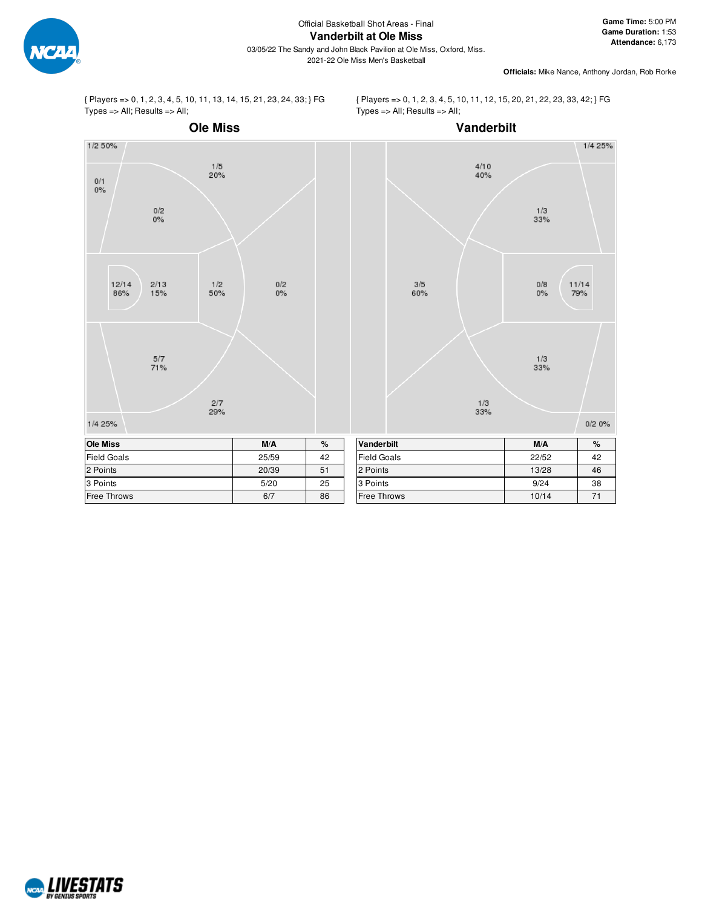

**Game Time:** 5:00 PM **Game Duration:** 1:53 **Attendance:** 6,173

**Officials:** Mike Nance, Anthony Jordan, Rob Rorke

{ Players => 0, 1, 2, 3, 4, 5, 10, 11, 13, 14, 15, 21, 23, 24, 33; } FG Types => All; Results => All;

{ Players => 0, 1, 2, 3, 4, 5, 10, 11, 12, 15, 20, 21, 22, 23, 33, 42; } FG Types => All; Results => All;



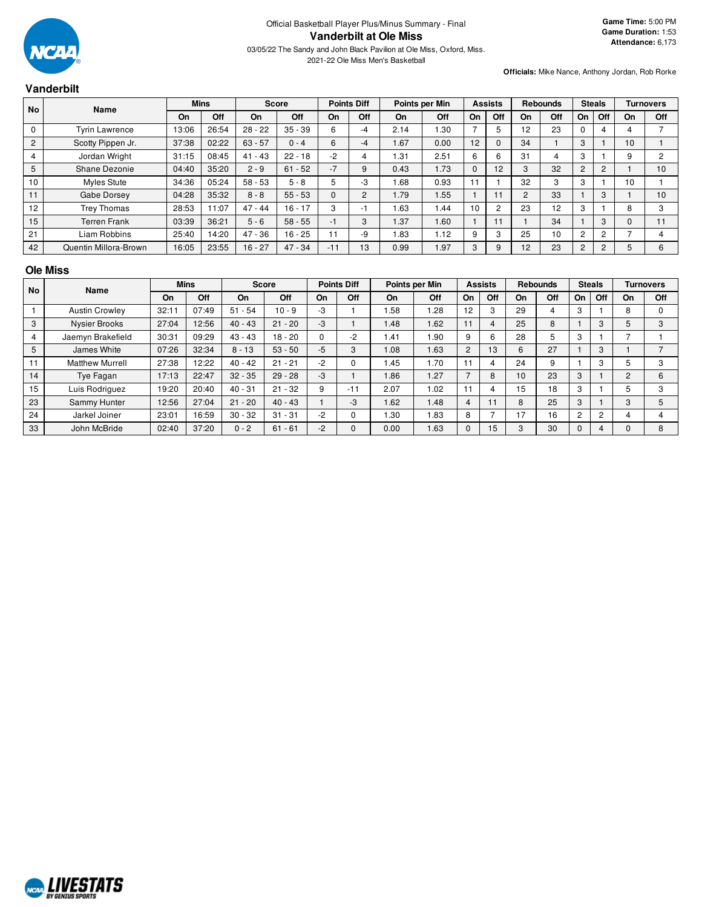

2021-22 Ole Miss Men's Basketball

## **Vanderbilt**

**Officials:** Mike Nance, Anthony Jordan, Rob Rorke

| <b>No</b>      | Name                  |       | <b>Mins</b> |           | Score     |       | <b>Points Diff</b> |            | Points per Min |              | <b>Assists</b> |                | <b>Rebounds</b> | <b>Steals</b>  |                |    | <b>Turnovers</b> |
|----------------|-----------------------|-------|-------------|-----------|-----------|-------|--------------------|------------|----------------|--------------|----------------|----------------|-----------------|----------------|----------------|----|------------------|
|                |                       | On    | Off         | On        | Off       | On    | Off                | On         | Off            | On           | Off            | On             | Off             | On             | Off            | On | Off              |
| $\mathbf 0$    | <b>Tyrin Lawrence</b> | 13:06 | 26:54       | $28 - 22$ | $35 - 39$ | 6     | -4                 | 2.14       | 1.30           |              | 5              | 12             | 23              |                | 4              |    |                  |
| $\overline{2}$ | Scotty Pippen Jr.     | 37:38 | 02:22       | $63 - 57$ | $0 - 4$   | 6     | -4                 | <b>67</b>  | 0.00           | 12           | $\Omega$       | 34             |                 | 3              |                | 10 |                  |
| 4              | Jordan Wright         | 31:15 | 08:45       | $41 - 43$ | $22 - 18$ | $-2$  |                    | 1.31       | 2.51           | 6            | 6              | 31             |                 | 3              |                | 9  | 2                |
| 5              | Shane Dezonie         | 04:40 | 35:20       | $2 - 9$   | $61 - 52$ | $-7$  | 9                  | 0.43       | 1.73           | $\mathbf{0}$ | 12             | 3              | 32              | 2              | $\overline{2}$ |    | 10               |
| 10             | <b>Myles Stute</b>    | 34:36 | 05:24       | $58 - 53$ | $5 - 8$   | 5     | $-3$               | .68        | 0.93           |              |                | 32             | 3               | 3              |                | 10 |                  |
| 11             | Gabe Dorsey           | 04:28 | 35:32       | $8 - 8$   | $55 - 53$ | 0     | 2                  | 1.79       | .55            |              |                | $\overline{2}$ | 33              |                | 3              |    | 10               |
| 12             | <b>Trey Thomas</b>    | 28:53 | 11:07       | $47 - 44$ | $16 - 17$ | 3     | ÷                  | 1.63       | l.44           | 10           | $\overline{c}$ | 23             | 12 <sup>2</sup> | З              |                | 8  | 3                |
| 15             | <b>Terren Frank</b>   | 03:39 | 36:21       | $5 - 6$   | $58 - 55$ | $-1$  | 3                  | 1.37       | 1.60           |              | 11             |                | 34              |                | 3              | 0  | 11               |
| 21             | Liam Robbins          | 25:40 | 14:20       | $47 - 36$ | $16 - 25$ | 11    | -9                 | <b>83.</b> | 1.12           | 9            | 3              | 25             | 10              | $\overline{c}$ | 2              |    | 4                |
| 42             | Quentin Millora-Brown | 16:05 | 23:55       | $16 - 27$ | $47 - 34$ | $-11$ | 13                 | 0.99       | 1.97           | 3            | 9              | 12             | 23              | 2              | $\overline{2}$ | 5  | 6                |

## **Ole Miss**

| <b>No</b>      | <b>Name</b>            |       | <b>Mins</b> |           | <b>Score</b> |      | <b>Points Diff</b> |      | Points per Min |                | <b>Assists</b> |    | <b>Rebounds</b> | <b>Steals</b> |     |    | <b>Turnovers</b> |
|----------------|------------------------|-------|-------------|-----------|--------------|------|--------------------|------|----------------|----------------|----------------|----|-----------------|---------------|-----|----|------------------|
|                |                        | On    | Off         | On        | Off          | On   | Off                | On   | Off            | On             | Off            | On | Off             | On            | Off | On | Off              |
|                | <b>Austin Crowley</b>  | 32:11 | 07:49       | $51 - 54$ | $10 - 9$     | -3   |                    | .58  | .28            | 12             | 3              | 29 | 4               | 3             |     | 8  | $\Omega$         |
| 3              | <b>Nysier Brooks</b>   | 27:04 | 12:56       | $40 - 43$ | $21 - 20$    | $-3$ |                    | 1.48 | 1.62           |                | 4              | 25 | 8               |               | 3   | 5  | 3                |
| $\overline{4}$ | Jaemyn Brakefield      | 30:31 | 09:29       | $43 - 43$ | $18 - 20$    | 0    | -2                 | 1.41 | 1.90           | 9              | 6              | 28 | 5               | 3             |     |    |                  |
| 5              | James White            | 07:26 | 32:34       | $8 - 13$  | $53 - 50$    | $-5$ | 3                  | 1.08 | 1.63           | $\overline{2}$ | 13             | 6  | 27              |               | 3   |    |                  |
| 11             | <b>Matthew Murrell</b> | 27:38 | 12:22       | $40 - 42$ | $21 - 21$    | $-2$ | 0                  | 1.45 | 1.70           | 11             | 4              | 24 | 9               |               | 3   |    | 3                |
| 14             | Tye Fagan              | 17:13 | 22:47       | $32 - 35$ | $29 - 28$    | $-3$ |                    | 1.86 | 1.27           |                | 8              | 10 | 23              | 3             |     | C  | 6                |
| 15             | Luis Rodriguez         | 19:20 | 20:40       | $40 - 31$ | $21 - 32$    | 9    | $-11$              | 2.07 | 1.02           | 11             | 4              | 15 | 18              | 3             |     |    | 3                |
| 23             | Sammy Hunter           | 12:56 | 27:04       | $21 - 20$ | $40 - 43$    |      | -3                 | 1.62 | 1.48           | 4              | 11             | 8  | 25              | 3             |     | 3  | 5                |
| 24             | Jarkel Joiner          | 23:01 | 16:59       | $30 - 32$ | $31 - 31$    | $-2$ | 0                  | .30  | 1.83           | 8              |                | 17 | 16              | 2             | 2   |    |                  |
| 33             | John McBride           | 02:40 | 37:20       | $0 - 2$   | $61 - 61$    | $-2$ |                    | 0.00 | 1.63           |                | 15             | 3  | 30              | 0             | 4   |    | 8                |

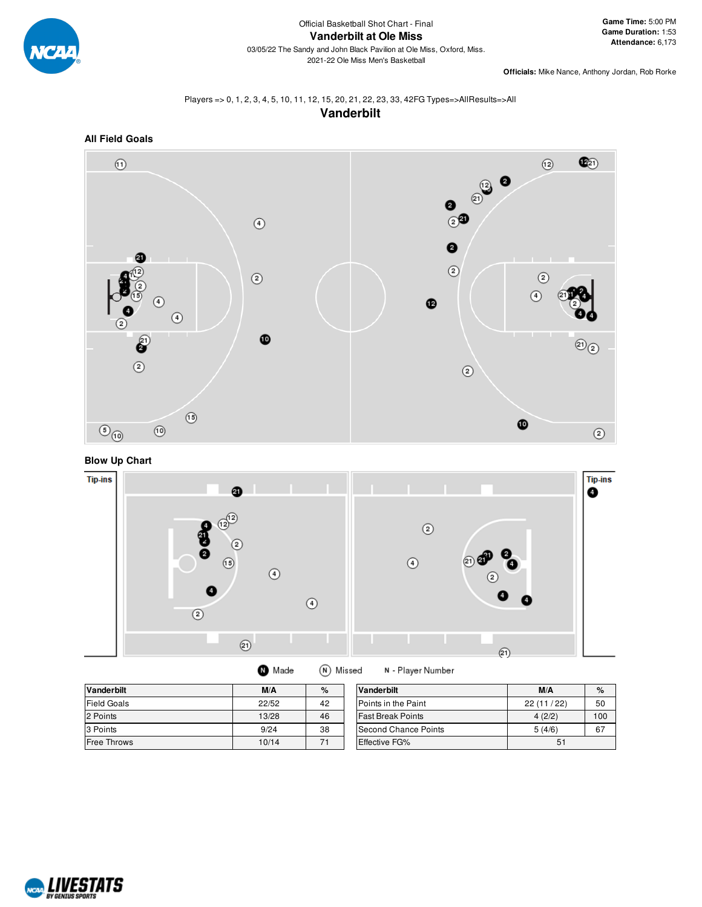

**Officials:** Mike Nance, Anthony Jordan, Rob Rorke

## Players => 0, 1, 2, 3, 4, 5, 10, 11, 12, 15, 20, 21, 22, 23, 33, 42FG Types=>AllResults=>All **Vanderbilt**



**Blow Up Chart**



| <b>Vanderbilt</b>  | M/A   | %  | <b>Vanderbilt</b>           | M/A       | %   |
|--------------------|-------|----|-----------------------------|-----------|-----|
| <b>Field Goals</b> | 22/52 | 42 | <b>IPoints in the Paint</b> | 22(11/22) | 50  |
| 2 Points           | 13/28 | 46 | <b>Fast Break Points</b>    | 4(2/2)    | 100 |
| 3 Points           | 9/24  | 38 | Second Chance Points        | 5(4/6)    | 67  |
| <b>Free Throws</b> | 10/14 | 71 | <b>Effective FG%</b>        | 51        |     |

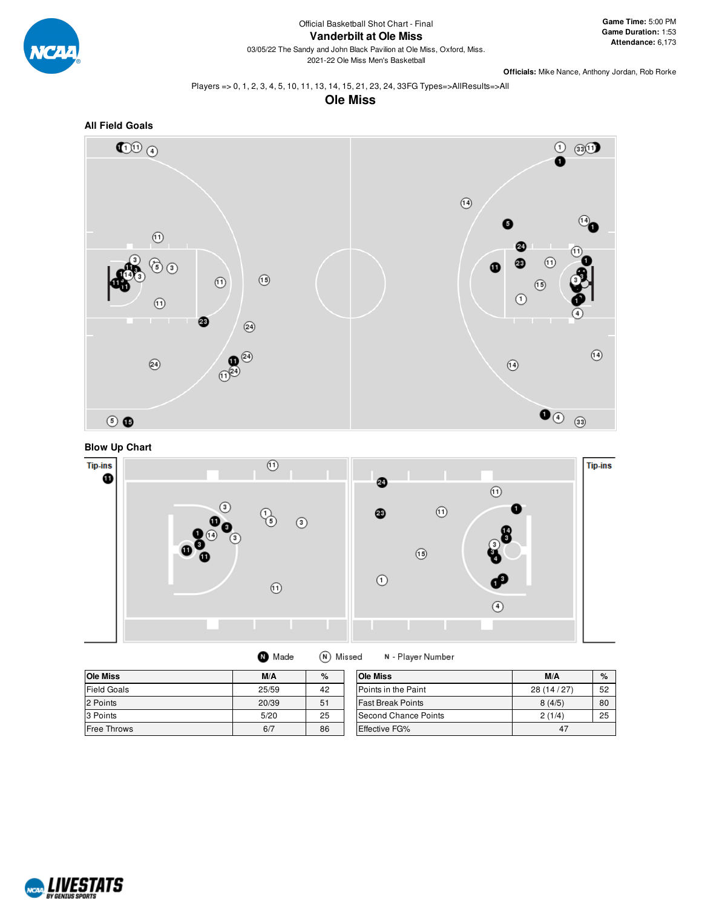

Official Basketball Shot Chart - Final **Vanderbilt at Ole Miss**

03/05/22 The Sandy and John Black Pavilion at Ole Miss, Oxford, Miss. 2021-22 Ole Miss Men's Basketball

**Officials:** Mike Nance, Anthony Jordan, Rob Rorke

Players => 0, 1, 2, 3, 4, 5, 10, 11, 13, 14, 15, 21, 23, 24, 33FG Types=>AllResults=>All

**Ole Miss**







| <b>Ole Miss</b>    | M/A   | %  | <b>Ole Miss</b>          | M/A       | $\%$ |
|--------------------|-------|----|--------------------------|-----------|------|
| Field Goals        | 25/59 | 42 | Points in the Paint      | 28(14/27) | 52   |
| 2 Points           | 20/39 | 51 | <b>Fast Break Points</b> | 8(4/5)    | 80   |
| 3 Points           | 5/20  | 25 | Second Chance Points     | 2(1/4)    | 25   |
| <b>Free Throws</b> | 6/7   | 86 | Effective FG%            | 47        |      |

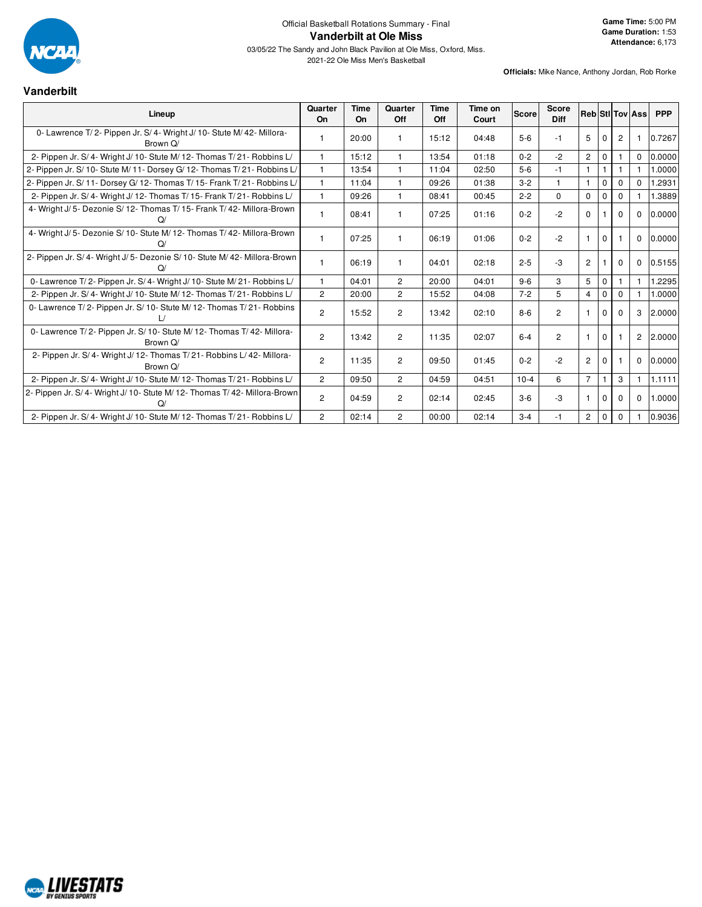

2021-22 Ole Miss Men's Basketball

## **Vanderbilt**

| Lineup                                                                              | Quarter<br>On  | Time<br>On | Quarter<br><b>Off</b> | <b>Time</b><br>Off | Time on<br>Court | <b>Score</b> | <b>Score</b><br>Diff |                |             |                | <b>RebiStilToviAss</b> | <b>PPP</b> |
|-------------------------------------------------------------------------------------|----------------|------------|-----------------------|--------------------|------------------|--------------|----------------------|----------------|-------------|----------------|------------------------|------------|
| 0- Lawrence T/2- Pippen Jr. S/4- Wright J/10- Stute M/42- Millora-<br>Brown Q/      | $\mathbf{1}$   | 20:00      |                       | 15:12              | 04:48            | $5-6$        | -1                   | 5              | $\Omega$    | $\overline{2}$ |                        | 0.7267     |
| 2- Pippen Jr. S/4- Wright J/10- Stute M/12- Thomas T/21- Robbins L/                 | $\mathbf{1}$   | 15:12      | 1                     | 13:54              | 01:18            | $0 - 2$      | $-2$                 | $\overline{2}$ | $\mathbf 0$ |                | $\Omega$               | 0.0000     |
| 2- Pippen Jr. S/ 10- Stute M/ 11- Dorsey G/ 12- Thomas T/ 21- Robbins L/            | $\mathbf{1}$   | 13:54      | 1                     | 11:04              | 02:50            | $5-6$        | $-1$                 | $\mathbf{1}$   |             |                |                        | 0000.1     |
| 2- Pippen Jr. S/ 11- Dorsey G/ 12- Thomas T/ 15- Frank T/ 21- Robbins L/            | $\mathbf{1}$   | 11:04      | 1                     | 09:26              | 01:38            | $3 - 2$      |                      | $\overline{1}$ | $\Omega$    | $\Omega$       | $\Omega$               | 1.2931     |
| 2- Pippen Jr. S/4- Wright J/12- Thomas T/15- Frank T/21- Robbins L/                 | $\mathbf{1}$   | 09:26      | 1                     | 08:41              | 00:45            | $2 - 2$      | $\Omega$             | $\Omega$       | $\Omega$    | $\Omega$       |                        | 1.3889     |
| 4- Wright J/ 5- Dezonie S/ 12- Thomas T/ 15- Frank T/ 42- Millora-Brown<br>$\Omega$ | 1              | 08:41      |                       | 07:25              | 01:16            | $0 - 2$      | $-2$                 | $\Omega$       |             | $\Omega$       | $\Omega$               | 0.0000     |
| 4- Wright J/ 5- Dezonie S/ 10- Stute M/ 12- Thomas T/ 42- Millora-Brown             | $\mathbf{1}$   | 07:25      |                       | 06:19              | 01:06            | $0 - 2$      | $-2$                 |                | $\Omega$    |                | $\Omega$               | 0.0000     |
| 2- Pippen Jr. S/4- Wright J/5- Dezonie S/10- Stute M/42- Millora-Brown              | $\mathbf{1}$   | 06:19      |                       | 04:01              | 02:18            | $2 - 5$      | $-3$                 | $\overline{2}$ |             | $\mathbf 0$    | $\mathbf 0$            | 0.5155     |
| 0- Lawrence T/2- Pippen Jr. S/4- Wright J/10- Stute M/21- Robbins L/                | $\mathbf{1}$   | 04:01      | $\overline{c}$        | 20:00              | 04:01            | $9 - 6$      | 3                    | 5              | $\Omega$    |                |                        | 1.2295     |
| 2- Pippen Jr. S/4- Wright J/10- Stute M/12- Thomas T/21- Robbins L/                 | $\overline{2}$ | 20:00      | $\overline{2}$        | 15:52              | 04:08            | $7 - 2$      | 5                    | $\overline{4}$ | $\Omega$    | $\Omega$       |                        | 1.0000     |
| 0- Lawrence T/2- Pippen Jr. S/10- Stute M/12- Thomas T/21- Robbins                  | $\overline{2}$ | 15:52      | $\overline{c}$        | 13:42              | 02:10            | $8 - 6$      | $\overline{2}$       |                | $\Omega$    | $\Omega$       | 3                      | 2.0000     |
| 0- Lawrence T/2- Pippen Jr. S/10- Stute M/12- Thomas T/42- Millora-<br>Brown Q/     | $\overline{2}$ | 13:42      | $\overline{2}$        | 11:35              | 02:07            | $6 - 4$      | $\overline{2}$       | $\mathbf{1}$   | $\mathbf 0$ |                | 2                      | 2.0000     |
| 2- Pippen Jr. S/4- Wright J/12- Thomas T/21- Robbins L/42- Millora-<br>Brown O/     | $\overline{2}$ | 11:35      | $\overline{2}$        | 09:50              | 01:45            | $0 - 2$      | $-2$                 | $\overline{2}$ | $\Omega$    |                | $\mathbf 0$            | 0.0000     |
| 2- Pippen Jr. S/4- Wright J/10- Stute M/12- Thomas T/21- Robbins L/                 | $\overline{2}$ | 09:50      | $\overline{2}$        | 04:59              | 04:51            | $10 - 4$     | 6                    | $\overline{7}$ |             | 3              |                        | 1.1111     |
| 2- Pippen Jr. S/4- Wright J/10- Stute M/12- Thomas T/42- Millora-Brown              | $\overline{2}$ | 04:59      | $\overline{2}$        | 02:14              | 02:45            | $3-6$        | $-3$                 |                | $\Omega$    | $\Omega$       | $\Omega$               | 1.0000     |
| 2- Pippen Jr. S/4- Wright J/10- Stute M/12- Thomas T/21- Robbins L/                 | $\overline{2}$ | 02:14      | $\overline{2}$        | 00:00              | 02:14            | $3 - 4$      | $-1$                 | $\overline{2}$ | $\mathbf 0$ | $\Omega$       |                        | 0.9036     |

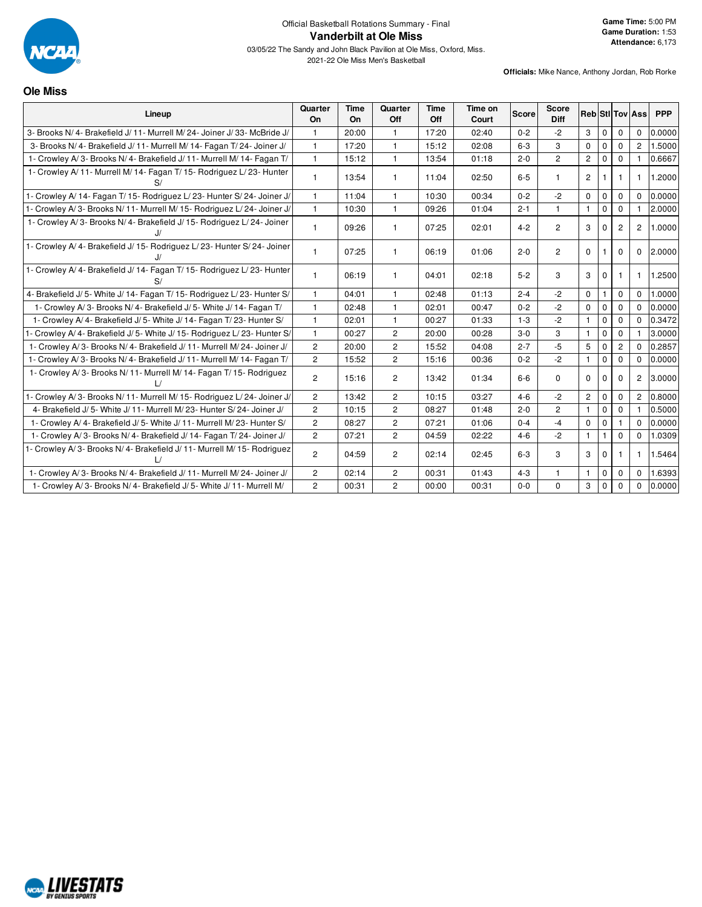

2021-22 Ole Miss Men's Basketball

**Ole Miss**

| Lineup                                                                  | Quarter<br>On  | Time<br>On | Quarter<br>Off | Time<br>Off | Time on<br>Court | <b>Score</b> | <b>Score</b><br><b>Diff</b> | <b>Reb Stillov Ass</b> |              |                |                | <b>PPP</b> |
|-------------------------------------------------------------------------|----------------|------------|----------------|-------------|------------------|--------------|-----------------------------|------------------------|--------------|----------------|----------------|------------|
| 3- Brooks N/4- Brakefield J/11- Murrell M/24- Joiner J/33- McBride J/   | 1              | 20:00      | $\mathbf{1}$   | 17:20       | 02:40            | $0 - 2$      | $-2$                        | 3                      | $\mathbf{0}$ | $\mathbf 0$    | $\Omega$       | 0.0000     |
| 3- Brooks N/4- Brakefield J/11- Murrell M/14- Fagan T/24- Joiner J/     | 1              | 17:20      | $\mathbf{1}$   | 15:12       | 02:08            | $6 - 3$      | 3                           | $\Omega$               | $\Omega$     | $\Omega$       | $\overline{2}$ | 1.5000     |
| 1- Crowley A/3- Brooks N/4- Brakefield J/11- Murrell M/14- Fagan T/     | $\mathbf{1}$   | 15:12      | $\overline{1}$ | 13:54       | 01:18            | $2 - 0$      | $\overline{c}$              | $\overline{c}$         | $\mathbf 0$  | $\Omega$       |                | 0.6667     |
| 1- Crowley A/11- Murrell M/14- Fagan T/15- Rodriguez L/23- Hunter<br>S/ | 1              | 13:54      | $\mathbf{1}$   | 11:04       | 02:50            | $6-5$        |                             | $\overline{2}$         |              |                | $\mathbf{1}$   | 1.2000     |
| 1- Crowley A/ 14- Fagan T/ 15- Rodriguez L/ 23- Hunter S/ 24- Joiner J/ | $\mathbf{1}$   | 11:04      | $\overline{1}$ | 10:30       | 00:34            | $0 - 2$      | $-2$                        | $\Omega$               | $\mathbf{0}$ | $\mathbf 0$    | $\Omega$       | 0.0000     |
| 1- Crowley A/3- Brooks N/11- Murrell M/15- Rodriguez L/24- Joiner J/    | $\mathbf{1}$   | 10:30      | $\overline{1}$ | 09:26       | 01:04            | $2 - 1$      |                             | $\mathbf{1}$           | $\Omega$     | $\Omega$       |                | 2.0000     |
| 1- Crowley A/3- Brooks N/4- Brakefield J/15- Rodriguez L/24- Joiner     |                | 09:26      | $\mathbf{1}$   | 07:25       | 02:01            | $4 - 2$      | $\overline{2}$              | 3                      | $\Omega$     | $\overline{2}$ | 2              | 1.0000     |
| 1- Crowley A/4- Brakefield J/15- Rodriguez L/23- Hunter S/24- Joiner    | 1              | 07:25      | $\mathbf{1}$   | 06:19       | 01:06            | $2 - 0$      | $\overline{2}$              | $\Omega$               |              | $\Omega$       | $\mathbf 0$    | 2.0000     |
| 1- Crowley A/4- Brakefield J/14- Fagan T/15- Rodriguez L/23- Hunter     |                | 06:19      | $\mathbf{1}$   | 04:01       | 02:18            | $5 - 2$      | 3                           | 3                      | $\mathbf 0$  |                | -1             | 1.2500     |
| 4- Brakefield J/5- White J/14- Fagan T/15- Rodriguez L/23- Hunter S/    |                | 04:01      | -1             | 02:48       | 01:13            | $2 - 4$      | $-2$                        | $\mathbf 0$            |              | $\Omega$       | $\Omega$       | 1.0000     |
| 1- Crowley A/3- Brooks N/4- Brakefield J/5- White J/14- Fagan T/        |                | 02:48      | $\mathbf{1}$   | 02:01       | 00:47            | $0 - 2$      | $-2$                        | $\Omega$               | $\mathbf 0$  | $\mathbf 0$    | $\Omega$       | 0.0000     |
| 1- Crowley A/4- Brakefield J/5- White J/14- Fagan T/23- Hunter S/       | $\mathbf{1}$   | 02:01      | $\overline{1}$ | 00:27       | 01:33            | $1 - 3$      | $-2$                        | $\mathbf{1}$           | $\mathbf 0$  | $\mathbf 0$    | $\Omega$       | 0.3472     |
| 1- Crowley A/4- Brakefield J/5- White J/15- Rodriguez L/23- Hunter S/   | $\mathbf{1}$   | 00:27      | $\overline{2}$ | 20:00       | 00:28            | $3-0$        | 3                           | $\mathbf{1}$           | $\mathbf 0$  | $\mathbf 0$    |                | 3.0000     |
| 1- Crowley A/3- Brooks N/4- Brakefield J/11- Murrell M/24- Joiner J/    | $\overline{c}$ | 20:00      | $\overline{2}$ | 15:52       | 04:08            | $2 - 7$      | $-5$                        | 5                      | $\Omega$     | 2              | $\Omega$       | 0.2857     |
| 1- Crowley A/3- Brooks N/4- Brakefield J/11- Murrell M/14- Fagan T/     | $\overline{c}$ | 15:52      | $\overline{2}$ | 15:16       | 00:36            | $0 - 2$      | $-2$                        | $\mathbf{1}$           | $\mathbf{0}$ | $\Omega$       | $\Omega$       | 0.0000     |
| 1- Crowley A/3- Brooks N/11- Murrell M/14- Fagan T/15- Rodriguez        | $\overline{2}$ | 15:16      | $\overline{c}$ | 13:42       | 01:34            | $6-6$        | 0                           | $\mathbf 0$            | $\mathbf 0$  | 0              | $\overline{c}$ | 3.0000     |
| 1- Crowley A/3- Brooks N/11- Murrell M/15- Rodriguez L/24- Joiner J/    | $\overline{2}$ | 13:42      | $\overline{2}$ | 10:15       | 03:27            | $4 - 6$      | $-2$                        | $\overline{2}$         | $\mathbf 0$  | 0              | $\overline{2}$ | 0.8000     |
| 4- Brakefield J/ 5- White J/ 11- Murrell M/ 23- Hunter S/ 24- Joiner J/ | $\overline{2}$ | 10:15      | $\overline{2}$ | 08:27       | 01:48            | $2 - 0$      | $\overline{c}$              | $\mathbf{1}$           | $\mathbf{0}$ | $\mathbf 0$    |                | 0.5000     |
| 1- Crowley A/4- Brakefield J/5- White J/11- Murrell M/23- Hunter S/     | $\overline{2}$ | 08:27      | 2              | 07:21       | 01:06            | $0 - 4$      | $-4$                        | $\Omega$               | $\mathbf 0$  |                | $\Omega$       | 0.0000     |
| 1- Crowley A/3- Brooks N/4- Brakefield J/14- Fagan T/24- Joiner J/      | $\overline{c}$ | 07:21      | $\overline{c}$ | 04:59       | 02:22            | $4 - 6$      | $-2$                        | $\mathbf{1}$           | $\mathbf{1}$ | $\Omega$       | $\Omega$       | 1.0309     |
| 1- Crowley A/3- Brooks N/4- Brakefield J/11- Murrell M/15- Rodriguez    | $\overline{c}$ | 04:59      | $\overline{c}$ | 02:14       | 02:45            | $6 - 3$      | 3                           | 3                      | $\mathbf 0$  |                | 1              | 1.5464     |
| 1- Crowley A/3- Brooks N/4- Brakefield J/11- Murrell M/24- Joiner J/    | $\overline{c}$ | 02:14      | $\overline{2}$ | 00:31       | 01:43            | $4 - 3$      | $\mathbf{1}$                | $\mathbf{1}$           | $\mathbf 0$  | $\mathbf 0$    | $\Omega$       | 1.6393     |
| 1- Crowley A/3- Brooks N/4- Brakefield J/5- White J/11- Murrell M/      | $\overline{c}$ | 00:31      | $\overline{c}$ | 00:00       | 00:31            | $0 - 0$      | $\Omega$                    | 3                      | $\Omega$     | $\Omega$       | $\Omega$       | 0.0000     |

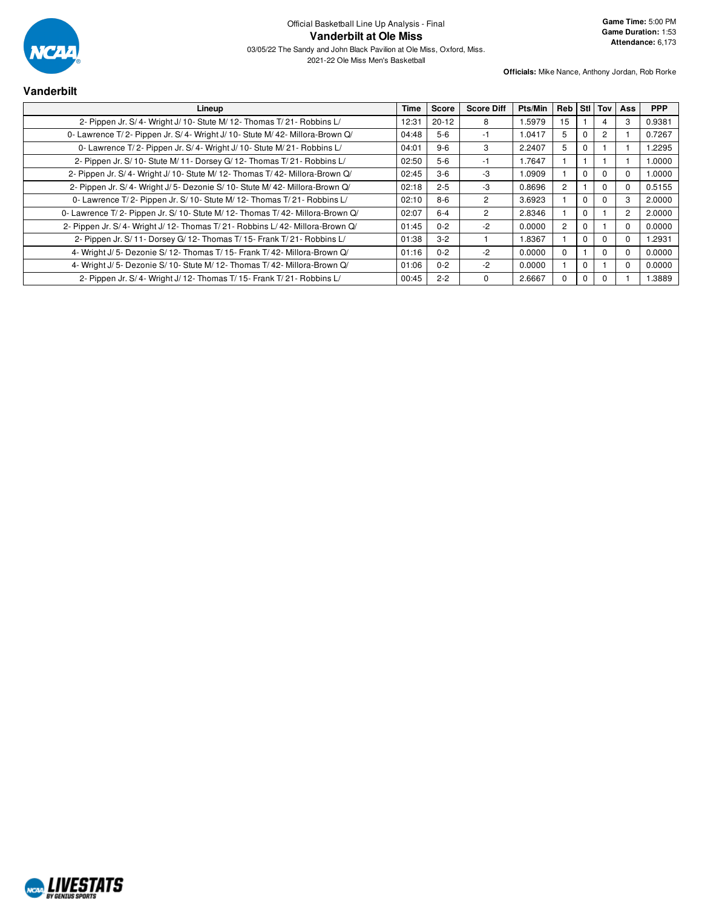

## **Vanderbilt**

| Lineup                                                                         | Time  | Score     | <b>Score Diff</b> | Pts/Min | Reb |          |                | Stil Toy Ass | <b>PPP</b> |
|--------------------------------------------------------------------------------|-------|-----------|-------------------|---------|-----|----------|----------------|--------------|------------|
| 2- Pippen Jr. S/4- Wright J/10- Stute M/12- Thomas T/21- Robbins L/            | 12:31 | $20 - 12$ | 8                 | 1.5979  | 15  |          | 4              | З            | 0.9381     |
| 0- Lawrence T/2- Pippen Jr. S/4- Wright J/10- Stute M/42- Millora-Brown Q/     | 04:48 | $5-6$     | -1                | 1.0417  | 5   | 0        | $\overline{2}$ |              | 0.7267     |
| 0- Lawrence T/2- Pippen Jr. S/4- Wright J/10- Stute M/21- Robbins L/           | 04:01 | $9 - 6$   | 3                 | 2.2407  | 5   | 0        |                |              | 1.2295     |
| 2- Pippen Jr. S/ 10- Stute M/ 11- Dorsey G/ 12- Thomas T/ 21- Robbins L/       | 02:50 | $5-6$     | -1                | 1.7647  |     |          |                |              | 1.0000     |
| 2- Pippen Jr. S/4- Wright J/10- Stute M/12- Thomas T/42- Millora-Brown Q/      | 02:45 | $3-6$     | -3                | 1.0909  |     | 0        | $\Omega$       |              | 1.0000     |
| 2- Pippen Jr. S/4- Wright J/5- Dezonie S/10- Stute M/42- Millora-Brown Q/      | 02:18 | $2 - 5$   | -3                | 0.8696  | 2   |          | $\Omega$       |              | 0.5155     |
| 0- Lawrence T/2- Pippen Jr. S/10- Stute M/12- Thomas T/21- Robbins L/          | 02:10 | $8 - 6$   | $\overline{2}$    | 3.6923  |     | 0        | $\Omega$       | 3            | 2.0000     |
| 0- Lawrence T/2- Pippen Jr. S/ 10- Stute M/ 12- Thomas T/ 42- Millora-Brown Q/ | 02:07 | $6 - 4$   | $\overline{2}$    | 2.8346  |     | 0        |                | 2            | 2.0000     |
| 2- Pippen Jr. S/4- Wright J/12- Thomas T/21- Robbins L/42- Millora-Brown Q/    | 01:45 | $0 - 2$   | -2                | 0.0000  | 2   | 0        |                | $\Omega$     | 0.0000     |
| 2- Pippen Jr. S/ 11- Dorsey G/ 12- Thomas T/ 15- Frank T/ 21- Robbins L/       | 01:38 | $3-2$     |                   | 1.8367  |     | $\Omega$ | $\Omega$       | $\Omega$     | 1.2931     |
| 4- Wright J/5- Dezonie S/12- Thomas T/15- Frank T/42- Millora-Brown Q/         | 01:16 | $0 - 2$   | $-2$              | 0.0000  | 0   |          | $\Omega$       |              | 0.0000     |
| 4- Wright J/5- Dezonie S/10- Stute M/12- Thomas T/42- Millora-Brown Q/         | 01:06 | $0 - 2$   | $-2$              | 0.0000  |     | 0        |                |              | 0.0000     |
| 2- Pippen Jr. S/4- Wright J/12- Thomas T/15- Frank T/21- Robbins L/            | 00:45 | $2 - 2$   | $\Omega$          | 2.6667  | O   | 0        | $\Omega$       |              | 1.3889     |